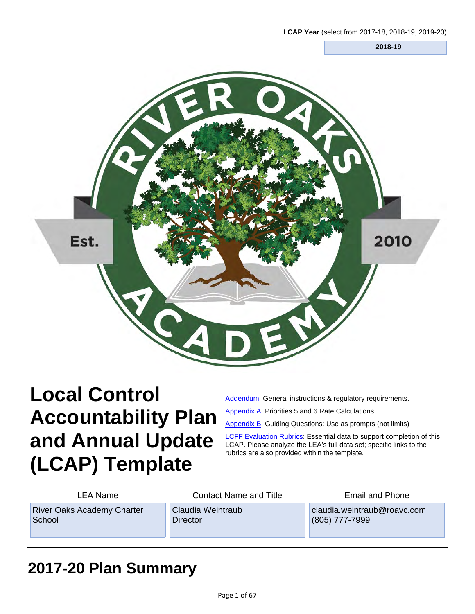**2018-19** 



# **Local Control Accountability Plan and Annual Update (LCAP) Template**

<span id="page-0-0"></span>Addendum: General instructions & regulatory requirements.

Appendix A: Priorities 5 and 6 Rate Calculations

[Appendix](#page-61-0) B: Guiding Questions: Use as prompts (not limits)

LCFF [Evaluation](https://www.caschooldashboard.org/#/Details/56105610122713/3/EquityReport) Rubrics: Essential data to support completion of this LCAP. Please analyze the LEA's full data set; specific links to the rubrics are also provided within the template.

#### LEA Name

River Oaks Academy Charter **School** 

Contact Name and Title

Claudia Weintraub **Director** 

Email and Phone

claudia.weintraub@roavc.com (805) 777-7999

## **2017-20 Plan [Summary](#page-50-0)**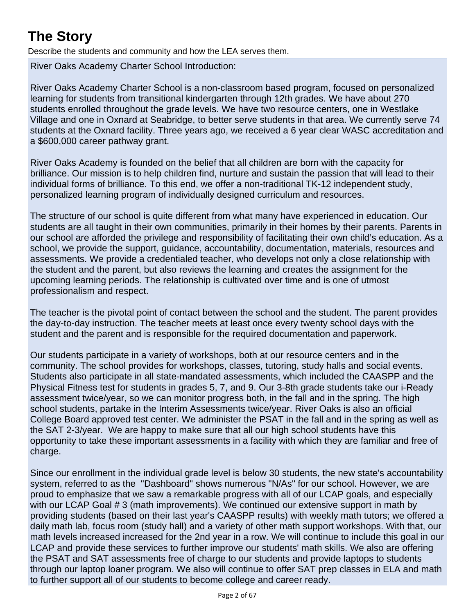## **The Story**

Describe the students and community and how the LEA serves them.

River Oaks Academy Charter School Introduction:

River Oaks Academy Charter School is a non-classroom based program, focused on personalized learning for students from transitional kindergarten through 12th grades. We have about 270 students enrolled throughout the grade levels. We have two resource centers, one in Westlake Village and one in Oxnard at Seabridge, to better serve students in that area. We currently serve 74 students at the Oxnard facility. Three years ago, we received a 6 year clear WASC accreditation and a \$600,000 career pathway grant.

River Oaks Academy is founded on the belief that all children are born with the capacity for brilliance. Our mission is to help children find, nurture and sustain the passion that will lead to their individual forms of brilliance. To this end, we offer a non-traditional TK-12 independent study, personalized learning program of individually designed curriculum and resources.

The structure of our school is quite different from what many have experienced in education. Our students are all taught in their own communities, primarily in their homes by their parents. Parents in our school are afforded the privilege and responsibility of facilitating their own child's education. As a school, we provide the support, guidance, accountability, documentation, materials, resources and assessments. We provide a credentialed teacher, who develops not only a close relationship with the student and the parent, but also reviews the learning and creates the assignment for the upcoming learning periods. The relationship is cultivated over time and is one of utmost professionalism and respect.

The teacher is the pivotal point of contact between the school and the student. The parent provides the day-to-day instruction. The teacher meets at least once every twenty school days with the student and the parent and is responsible for the required documentation and paperwork.

Our students participate in a variety of workshops, both at our resource centers and in the community. The school provides for workshops, classes, tutoring, study halls and social events. Students also participate in all state-mandated assessments, which included the CAASPP and the Physical Fitness test for students in grades 5, 7, and 9. Our 3-8th grade students take our i-Ready assessment twice/year, so we can monitor progress both, in the fall and in the spring. The high school students, partake in the Interim Assessments twice/year. River Oaks is also an official College Board approved test center. We administer the PSAT in the fall and in the spring as well as the SAT 2-3/year. We are happy to make sure that all our high school students have this opportunity to take these important assessments in a facility with which they are familiar and free of charge.

Since our enrollment in the individual grade level is below 30 students, the new state's accountability system, referred to as the "Dashboard" shows numerous "N/As" for our school. However, we are proud to emphasize that we saw a remarkable progress with all of our LCAP goals, and especially with our LCAP Goal # 3 (math improvements). We continued our extensive support in math by providing students (based on their last year's CAASPP results) with weekly math tutors; we offered a daily math lab, focus room (study hall) and a variety of other math support workshops. With that, our math levels increased increased for the 2nd year in a row. We will continue to include this goal in our LCAP and provide these services to further improve our students' math skills. We also are offering the PSAT and SAT assessments free of charge to our students and provide laptops to students through our laptop loaner program. We also will continue to offer SAT prep classes in ELA and math to further support all of our students to become college and career ready.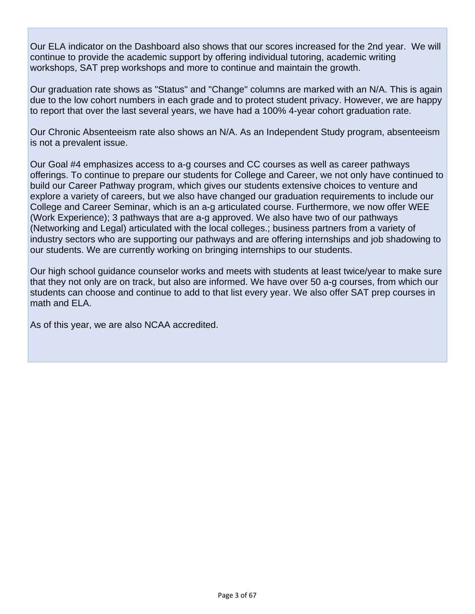Our ELA indicator on the Dashboard also shows that our scores increased for the 2nd year. We will continue to provide the academic support by offering individual tutoring, academic writing workshops, SAT prep workshops and more to continue and maintain the growth.

Our graduation rate shows as "Status" and "Change" columns are marked with an N/A. This is again due to the low cohort numbers in each grade and to protect student privacy. However, we are happy to report that over the last several years, we have had a 100% 4-year cohort graduation rate.

Our Chronic Absenteeism rate also shows an N/A. As an Independent Study program, absenteeism is not a prevalent issue.

Our Goal #4 emphasizes access to a-g courses and CC courses as well as career pathways offerings. To continue to prepare our students for College and Career, we not only have continued to build our Career Pathway program, which gives our students extensive choices to venture and explore a variety of careers, but we also have changed our graduation requirements to include our College and Career Seminar, which is an a-g articulated course. Furthermore, we now offer WEE (Work Experience); 3 pathways that are a-g approved. We also have two of our pathways (Networking and Legal) articulated with the local colleges.; business partners from a variety of industry sectors who are supporting our pathways and are offering internships and job shadowing to our students. We are currently working on bringing internships to our students.

Our high school guidance counselor works and meets with students at least twice/year to make sure that they not only are on track, but also are informed. We have over 50 a-g courses, from which our students can choose and continue to add to that list every year. We also offer SAT prep courses in math and ELA.

As of this year, we are also NCAA accredited.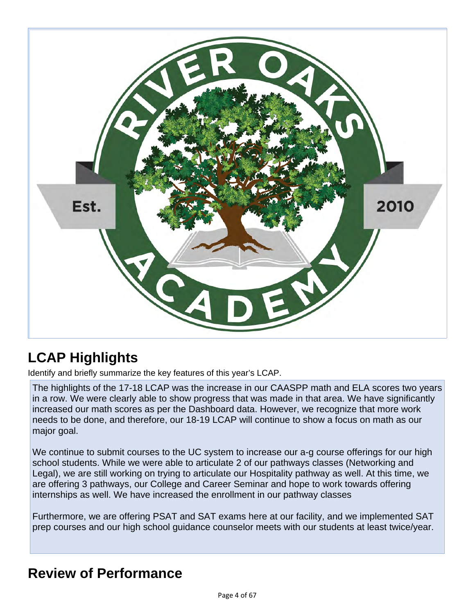

## **LCAP Highlights**

Identify and briefly summarize the key features of this year's LCAP.

The highlights of the 17-18 LCAP was the increase in our CAASPP math and ELA scores two years in a row. We were clearly able to show progress that was made in that area. We have significantly increased our math scores as per the Dashboard data. However, we recognize that more work needs to be done, and therefore, our 18-19 LCAP will continue to show a focus on math as our major goal.

We continue to submit courses to the UC system to increase our a-g course offerings for our high school students. While we were able to articulate 2 of our pathways classes (Networking and Legal), we are still working on trying to articulate our Hospitality pathway as well. At this time, we are offering 3 pathways, our College and Career Seminar and hope to work towards offering internships as well. We have increased the enrollment in our pathway classes

Furthermore, we are offering PSAT and SAT exams here at our facility, and we implemented SAT prep courses and our high school guidance counselor meets with our students at least twice/year.

## **Review of Performance**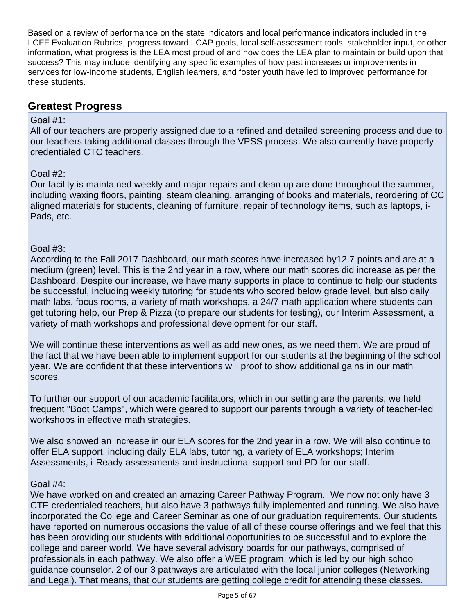Based on a review of performance on the state indicators and local performance indicators included in the LCFF Evaluation Rubrics, progress toward LCAP goals, local self-assessment tools, stakeholder input, or other information, what progress is the LEA most proud of and how does the LEA plan to maintain or build upon that success? This may include identifying any specific examples of how past increases or improvements in services for low-income students, English learners, and foster youth have led to improved performance for these students.

### **Greatest Progress**

### Goal #1:

All of our teachers are properly assigned due to a refined and detailed screening process and due to our teachers taking additional classes through the VPSS process. We also currently have properly credentialed CTC teachers.

### Goal #2:

Our facility is maintained weekly and major repairs and clean up are done throughout the summer, including waxing floors, painting, steam cleaning, arranging of books and materials, reordering of CC aligned materials for students, cleaning of furniture, repair of technology items, such as laptops, i-Pads, etc.

#### Goal #3:

According to the Fall 2017 Dashboard, our math scores have increased by12.7 points and are at a medium (green) level. This is the 2nd year in a row, where our math scores did increase as per the Dashboard. Despite our increase, we have many supports in place to continue to help our students be successful, including weekly tutoring for students who scored below grade level, but also daily math labs, focus rooms, a variety of math workshops, a 24/7 math application where students can get tutoring help, our Prep & Pizza (to prepare our students for testing), our Interim Assessment, a variety of math workshops and professional development for our staff.

We will continue these interventions as well as add new ones, as we need them. We are proud of the fact that we have been able to implement support for our students at the beginning of the school year. We are confident that these interventions will proof to show additional gains in our math scores.

To further our support of our academic facilitators, which in our setting are the parents, we held frequent "Boot Camps", which were geared to support our parents through a variety of teacher-led workshops in effective math strategies.

We also showed an increase in our ELA scores for the 2nd year in a row. We will also continue to offer ELA support, including daily ELA labs, tutoring, a variety of ELA workshops; Interim Assessments, i-Ready assessments and instructional support and PD for our staff.

### Goal #4:

We have worked on and created an amazing Career Pathway Program. We now not only have 3 CTE credentialed teachers, but also have 3 pathways fully implemented and running. We also have incorporated the College and Career Seminar as one of our graduation requirements. Our students have reported on numerous occasions the value of all of these course offerings and we feel that this has been providing our students with additional opportunities to be successful and to explore the college and career world. We have several advisory boards for our pathways, comprised of professionals in each pathway. We also offer a WEE program, which is led by our high school guidance counselor. 2 of our 3 pathways are articulated with the local junior colleges (Networking and Legal). That means, that our students are getting college credit for attending these classes.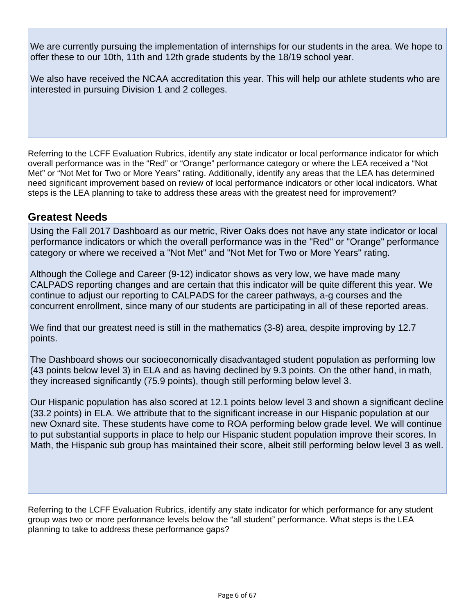We are currently pursuing the implementation of internships for our students in the area. We hope to offer these to our 10th, 11th and 12th grade students by the 18/19 school year.

We also have received the NCAA accreditation this year. This will help our athlete students who are interested in pursuing Division 1 and 2 colleges.

Referring to the LCFF Evaluation Rubrics, identify any state indicator or local performance indicator for which overall performance was in the "Red" or "Orange" performance category or where the LEA received a "Not Met" or "Not Met for Two or More Years" rating. Additionally, identify any areas that the LEA has determined need significant improvement based on review of local performance indicators or other local indicators. What steps is the LEA planning to take to address these areas with the greatest need for improvement?

### **Greatest Needs**

Using the Fall 2017 Dashboard as our metric, River Oaks does not have any state indicator or local performance indicators or which the overall performance was in the "Red" or "Orange" performance category or where we received a "Not Met" and "Not Met for Two or More Years" rating.

Although the College and Career (9-12) indicator shows as very low, we have made many CALPADS reporting changes and are certain that this indicator will be quite different this year. We continue to adjust our reporting to CALPADS for the career pathways, a-g courses and the concurrent enrollment, since many of our students are participating in all of these reported areas.

We find that our greatest need is still in the mathematics (3-8) area, despite improving by 12.7 points.

The Dashboard shows our socioeconomically disadvantaged student population as performing low (43 points below level 3) in ELA and as having declined by 9.3 points. On the other hand, in math, they increased significantly (75.9 points), though still performing below level 3.

Our Hispanic population has also scored at 12.1 points below level 3 and shown a significant decline (33.2 points) in ELA. We attribute that to the significant increase in our Hispanic population at our new Oxnard site. These students have come to ROA performing below grade level. We will continue to put substantial supports in place to help our Hispanic student population improve their scores. In Math, the Hispanic sub group has maintained their score, albeit still performing below level 3 as well.

Referring to the LCFF Evaluation Rubrics, identify any state indicator for which performance for any student group was two or more performance levels below the "all student" performance. What steps is the LEA planning to take to address these performance gaps?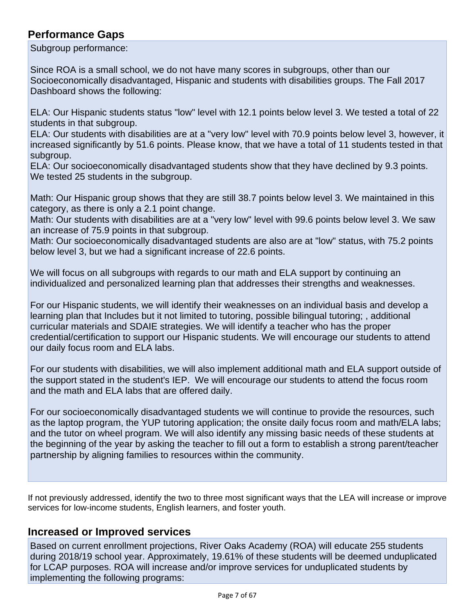### **Performance Gaps**

Subgroup performance:

Since ROA is a small school, we do not have many scores in subgroups, other than our Socioeconomically disadvantaged, Hispanic and students with disabilities groups. The Fall 2017 Dashboard shows the following:

ELA: Our Hispanic students status "low" level with 12.1 points below level 3. We tested a total of 22 students in that subgroup.

ELA: Our students with disabilities are at a "very low" level with 70.9 points below level 3, however, it increased significantly by 51.6 points. Please know, that we have a total of 11 students tested in that subgroup.

ELA: Our socioeconomically disadvantaged students show that they have declined by 9.3 points. We tested 25 students in the subgroup.

Math: Our Hispanic group shows that they are still 38.7 points below level 3. We maintained in this category, as there is only a 2.1 point change.

Math: Our students with disabilities are at a "very low" level with 99.6 points below level 3. We saw an increase of 75.9 points in that subgroup.

Math: Our socioeconomically disadvantaged students are also are at "low" status, with 75.2 points below level 3, but we had a significant increase of 22.6 points.

We will focus on all subgroups with regards to our math and ELA support by continuing an individualized and personalized learning plan that addresses their strengths and weaknesses.

For our Hispanic students, we will identify their weaknesses on an individual basis and develop a learning plan that Includes but it not limited to tutoring, possible bilingual tutoring; , additional curricular materials and SDAIE strategies. We will identify a teacher who has the proper credential/certification to support our Hispanic students. We will encourage our students to attend our daily focus room and ELA labs.

For our students with disabilities, we will also implement additional math and ELA support outside of the support stated in the student's IEP. We will encourage our students to attend the focus room and the math and ELA labs that are offered daily.

For our socioeconomically disadvantaged students we will continue to provide the resources, such as the laptop program, the YUP tutoring application; the onsite daily focus room and math/ELA labs; and the tutor on wheel program. We will also identify any missing basic needs of these students at the beginning of the year by asking the teacher to fill out a form to establish a strong parent/teacher partnership by aligning families to resources within the community.

If not previously addressed, identify the two to three most significant ways that the LEA will increase or improve services for low-income students, English learners, and foster youth.

### **Increased or Improved services**

Based on current enrollment projections, River Oaks Academy (ROA) will educate 255 students during 2018/19 school year. Approximately, 19.61% of these students will be deemed unduplicated for LCAP purposes. ROA will increase and/or improve services for unduplicated students by implementing the following programs: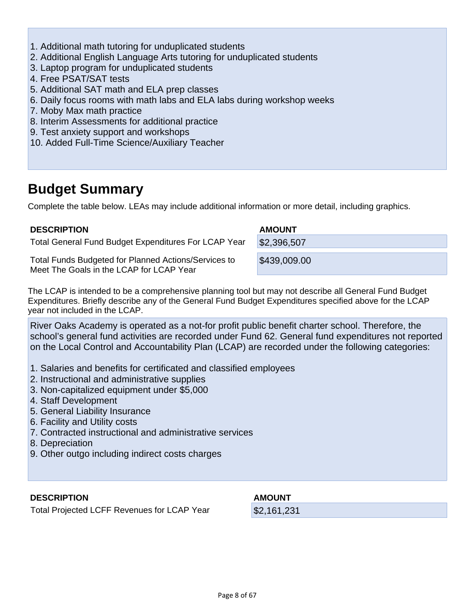- 1. Additional math tutoring for unduplicated students
- 2. Additional English Language Arts tutoring for unduplicated students
- 3. Laptop program for unduplicated students
- 4. Free PSAT/SAT tests
- 5. Additional SAT math and ELA prep classes
- 6. Daily focus rooms with math labs and ELA labs during workshop weeks
- 7. Moby Max math practice
- 8. Interim Assessments for additional practice
- 9. Test anxiety support and workshops
- 10. Added Full-Time Science/Auxiliary Teacher

## **Budget Summary**

Complete the table below. LEAs may include additional information or more detail, including graphics.

### **DESCRIPTION AMOUNT**

Total General Fund Budget Expenditures For LCAP Year | \$2,396,507

Total Funds Budgeted for Planned Actions/Services to Meet The Goals in the LCAP for LCAP Year

\$439,009.00

The LCAP is intended to be a comprehensive planning tool but may not describe all General Fund Budget Expenditures. Briefly describe any of the General Fund Budget Expenditures specified above for the LCAP year not included in the LCAP.

River Oaks Academy is operated as a not-for profit public benefit charter school. Therefore, the school's general fund activities are recorded under Fund 62. General fund expenditures not reported on the Local Control and Accountability Plan (LCAP) are recorded under the following categories:

- 1. Salaries and benefits for certificated and classified employees
- 2. Instructional and administrative supplies
- 3. Non-capitalized equipment under \$5,000
- 4. Staff Development
- 5. General Liability Insurance
- 6. Facility and Utility costs
- 7. Contracted instructional and administrative services
- 8. Depreciation
- 9. Other outgo including indirect costs charges

### **DESCRIPTION AMOUNT**

Total Projected LCFF Revenues for LCAP Year \$2,161,231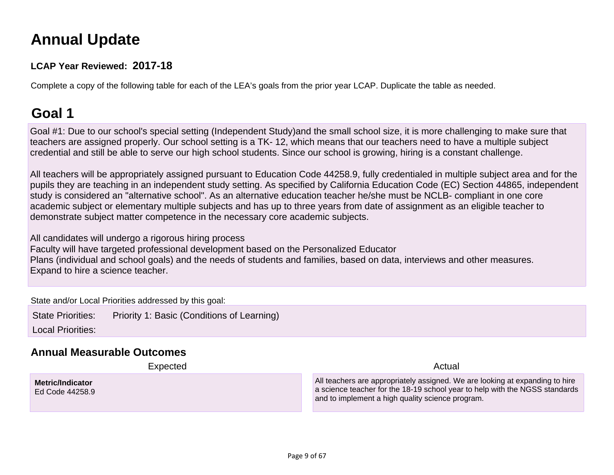## **Annual Update**

### **LCAP Year Reviewed: 2017-18**

Complete a copy of the following table for each of the LEA's goals from the prior year LCAP. Duplicate the table as needed.

### **Goal 1**

Goal #1: Due to our school's special setting (Independent Study)and the small school size, it is more challenging to make sure that teachers are assigned properly. Our school setting is a TK- 12, which means that our teachers need to have a multiple subject credential and still be able to serve our high school students. Since our school is growing, hiring is a constant challenge.

All teachers will be appropriately assigned pursuant to Education Code 44258.9, fully credentialed in multiple subject area and for the pupils they are teaching in an independent study setting. As specified by California Education Code (EC) Section 44865, independent study is considered an "alternative school". As an alternative education teacher he/she must be NCLB- compliant in one core academic subject or elementary multiple subjects and has up to three years from date of assignment as an eligible teacher to demonstrate subject matter competence in the necessary core academic subjects.

All candidates will undergo a rigorous hiring process Faculty will have targeted professional development based on the Personalized Educator Plans (individual and school goals) and the needs of students and families, based on data, interviews and other measures. Expand to hire a science teacher.

State and/or Local Priorities addressed by this goal:

State Priorities: Priority 1: Basic (Conditions of Learning)

Local Priorities:

### **Annual Measurable Outcomes**

| Expected                            | Actual                                                                                                                                                                                                          |
|-------------------------------------|-----------------------------------------------------------------------------------------------------------------------------------------------------------------------------------------------------------------|
| Metric/Indicator<br>Ed Code 44258.9 | All teachers are appropriately assigned. We are looking at expanding to hire<br>a science teacher for the 18-19 school year to help with the NGSS standards<br>and to implement a high quality science program. |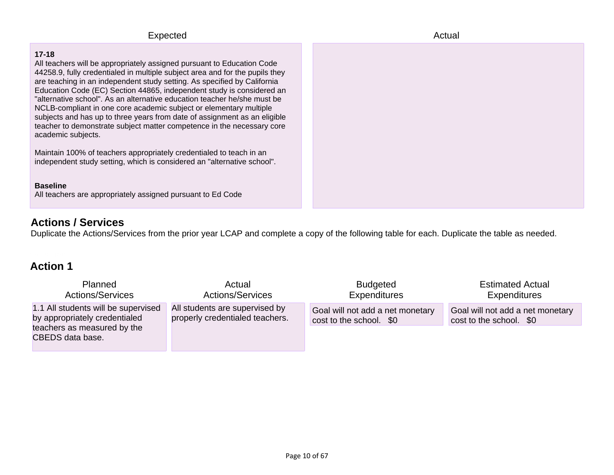| Expected                                                                                                                                                                                                                                                                                                                                                                                                                                                                                                                                                                                                                                                | Actual |
|---------------------------------------------------------------------------------------------------------------------------------------------------------------------------------------------------------------------------------------------------------------------------------------------------------------------------------------------------------------------------------------------------------------------------------------------------------------------------------------------------------------------------------------------------------------------------------------------------------------------------------------------------------|--------|
| $17 - 18$<br>All teachers will be appropriately assigned pursuant to Education Code<br>44258.9, fully credentialed in multiple subject area and for the pupils they<br>are teaching in an independent study setting. As specified by California<br>Education Code (EC) Section 44865, independent study is considered an<br>"alternative school". As an alternative education teacher he/she must be<br>NCLB-compliant in one core academic subject or elementary multiple<br>subjects and has up to three years from date of assignment as an eligible<br>teacher to demonstrate subject matter competence in the necessary core<br>academic subjects. |        |
| Maintain 100% of teachers appropriately credentialed to teach in an<br>independent study setting, which is considered an "alternative school".                                                                                                                                                                                                                                                                                                                                                                                                                                                                                                          |        |
| <b>Baseline</b><br>All teachers are appropriately assigned pursuant to Ed Code                                                                                                                                                                                                                                                                                                                                                                                                                                                                                                                                                                          |        |

### **Actions / [Services](#page-51-0)**

Duplicate the Actions/Services from the prior year LCAP and complete a copy of the following table for each. Duplicate the table as needed.

### **Action 1**

| <b>Planned</b>                                  | Actual                          | <b>Budgeted</b>                  | <b>Estimated Actual</b>          |
|-------------------------------------------------|---------------------------------|----------------------------------|----------------------------------|
| <b>Actions/Services</b>                         | <b>Actions/Services</b>         | Expenditures                     | <b>Expenditures</b>              |
| 1.1 All students will be supervised             | All students are supervised by  | Goal will not add a net monetary | Goal will not add a net monetary |
| by appropriately credentialed                   | properly credentialed teachers. | cost to the school. \$0          | cost to the school. \$0          |
| teachers as measured by the<br>CBEDS data base. |                                 |                                  |                                  |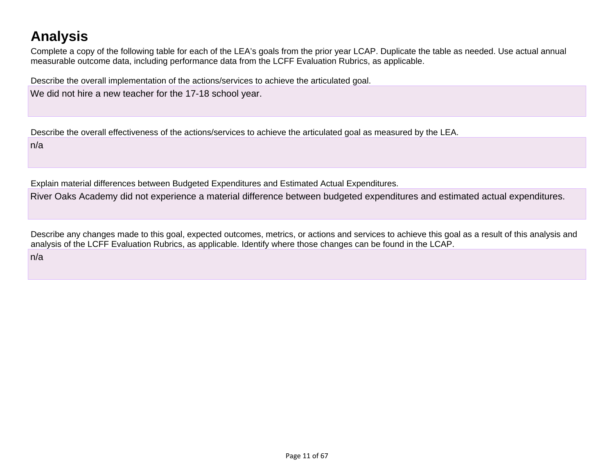## **Analysis**

Complete a copy of the following table for each of the LEA's goals from the prior year LCAP. Duplicate the table as needed. Use actual annual measurable outcome data, including performance data from the LCFF Evaluation Rubrics, as applicable.

Describe the overall implementation of the actions/services to achieve the articulated goal.

We did not hire a new teacher for the 17-18 school year.

Describe the overall effectiveness of the actions/services to achieve the articulated goal as measured by the LEA.

n/a

Explain material differences between Budgeted Expenditures and Estimated Actual Expenditures.

River Oaks Academy did not experience a material difference between budgeted expenditures and estimated actual expenditures.

Describe any changes made to this goal, expected outcomes, metrics, or actions and services to achieve this goal as a result of this analysis and analysis of the LCFF Evaluation Rubrics, as applicable. Identify where those changes can be found in the LCAP. n/a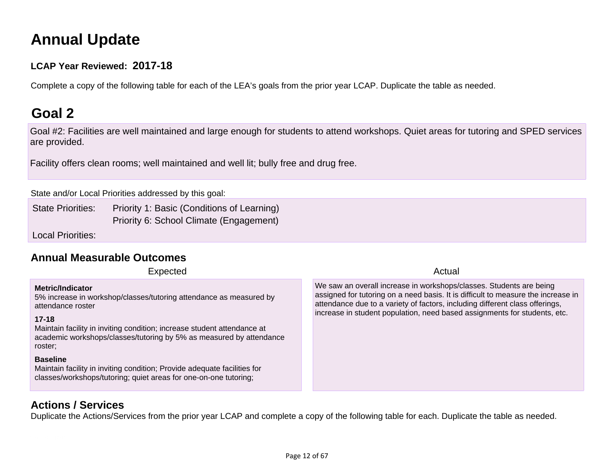## **Annual Update**

### **LCAP Year Reviewed: 2017-18**

Complete a copy of the following table for each of the LEA's goals from the prior year LCAP. Duplicate the table as needed.

### **Goal 2**

Goal #2: Facilities are well maintained and large enough for students to attend workshops. Quiet areas for tutoring and SPED services are provided.

Facility offers clean rooms; well maintained and well lit; bully free and drug free.

State and/or Local Priorities addressed by this goal:

State Priorities: Priority 1: Basic (Conditions of Learning) Priority 6: School Climate (Engagement)

Local Priorities:

### **Annual Measurable Outcomes**

| Expected                                                                                                                                                                                                                                                                                                        | Actual                                                                                                                                                                                                                                                                                                                |
|-----------------------------------------------------------------------------------------------------------------------------------------------------------------------------------------------------------------------------------------------------------------------------------------------------------------|-----------------------------------------------------------------------------------------------------------------------------------------------------------------------------------------------------------------------------------------------------------------------------------------------------------------------|
| <b>Metric/Indicator</b><br>5% increase in workshop/classes/tutoring attendance as measured by<br>attendance roster<br>$17 - 18$<br>Maintain facility in inviting condition; increase student attendance at<br>academic workshops/classes/tutoring by 5% as measured by attendance<br>roster:<br><b>Baseline</b> | We saw an overall increase in workshops/classes. Students are being<br>assigned for tutoring on a need basis. It is difficult to measure the increase in<br>attendance due to a variety of factors, including different class offerings,<br>increase in student population, need based assignments for students, etc. |
| Maintain facility in inviting condition; Provide adequate facilities for<br>classes/workshops/tutoring; quiet areas for one-on-one tutoring;                                                                                                                                                                    |                                                                                                                                                                                                                                                                                                                       |

### **Actions / [Services](#page-51-0)**

Duplicate the Actions/Services from the prior year LCAP and complete a copy of the following table for each. Duplicate the table as needed.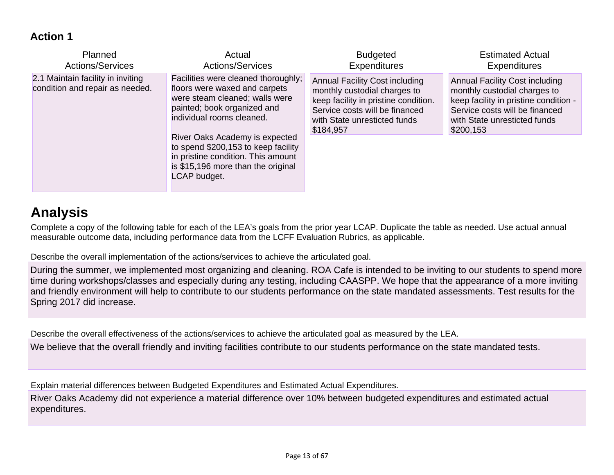### **Action 1**

| Planned<br><b>Actions/Services</b>                                   | Actual<br><b>Actions/Services</b>                                                                                                                                                                                                                                                                                                       | <b>Budgeted</b><br><b>Expenditures</b>                                                                                                                                                       | <b>Estimated Actual</b><br><b>Expenditures</b>                                                                                                                                                |
|----------------------------------------------------------------------|-----------------------------------------------------------------------------------------------------------------------------------------------------------------------------------------------------------------------------------------------------------------------------------------------------------------------------------------|----------------------------------------------------------------------------------------------------------------------------------------------------------------------------------------------|-----------------------------------------------------------------------------------------------------------------------------------------------------------------------------------------------|
| 2.1 Maintain facility in inviting<br>condition and repair as needed. | Facilities were cleaned thoroughly;<br>floors were waxed and carpets<br>were steam cleaned; walls were<br>painted; book organized and<br>individual rooms cleaned.<br>River Oaks Academy is expected<br>to spend \$200,153 to keep facility<br>in pristine condition. This amount<br>is \$15,196 more than the original<br>LCAP budget. | <b>Annual Facility Cost including</b><br>monthly custodial charges to<br>keep facility in pristine condition.<br>Service costs will be financed<br>with State unresticted funds<br>\$184,957 | <b>Annual Facility Cost including</b><br>monthly custodial charges to<br>keep facility in pristine condition -<br>Service costs will be financed<br>with State unresticted funds<br>\$200,153 |
|                                                                      |                                                                                                                                                                                                                                                                                                                                         |                                                                                                                                                                                              |                                                                                                                                                                                               |

## **Analysis**

Complete a copy of the following table for each of the LEA's goals from the prior year LCAP. Duplicate the table as needed. Use actual annual measurable outcome data, including performance data from the LCFF Evaluation Rubrics, as applicable.

Describe the overall implementation of the actions/services to achieve the articulated goal.

During the summer, we implemented most organizing and cleaning. ROA Cafe is intended to be inviting to our students to spend more time during workshops/classes and especially during any testing, including CAASPP. We hope that the appearance of a more inviting and friendly environment will help to contribute to our students performance on the state mandated assessments. Test results for the Spring 2017 did increase.

Describe the overall effectiveness of the actions/services to achieve the articulated goal as measured by the LEA.

We believe that the overall friendly and inviting facilities contribute to our students performance on the state mandated tests.

Explain material differences between Budgeted Expenditures and Estimated Actual Expenditures.

River Oaks Academy did not experience a material difference over 10% between budgeted expenditures and estimated actual expenditures.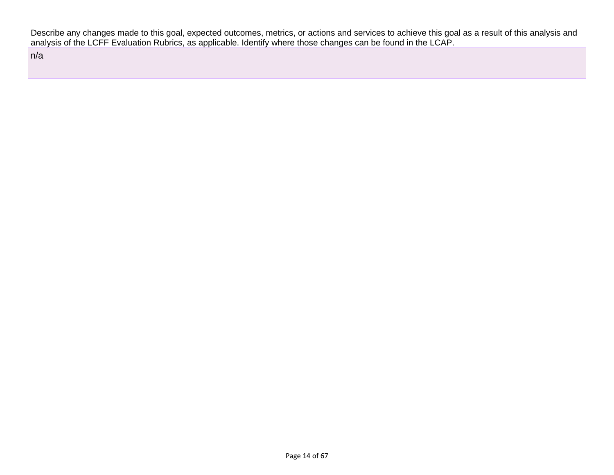Describe any changes made to this goal, expected outcomes, metrics, or actions and services to achieve this goal as a result of this analysis and analysis of the LCFF Evaluation Rubrics, as applicable. Identify where those changes can be found in the LCAP.

n/a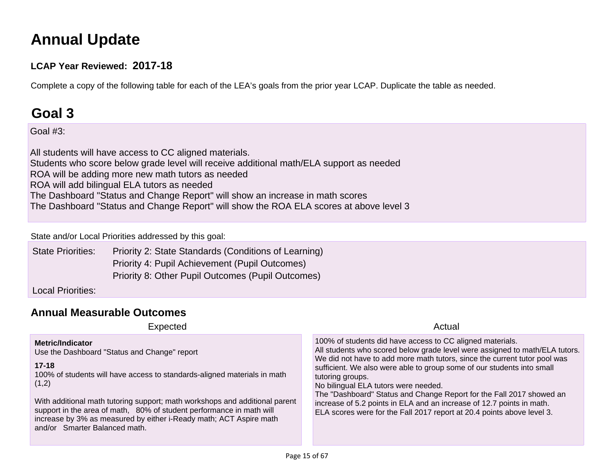## **Annual Update**

### **LCAP Year Reviewed: 2017-18**

Complete a copy of the following table for each of the LEA's goals from the prior year LCAP. Duplicate the table as needed.

## **Goal 3**

Goal #3:

All students will have access to CC aligned materials. Students who score below grade level will receive additional math/ELA support as needed ROA will be adding more new math tutors as needed ROA will add bilingual ELA tutors as needed The Dashboard "Status and Change Report" will show an increase in math scores The Dashboard "Status and Change Report" will show the ROA ELA scores at above level 3

#### State and/or Local Priorities addressed by this goal:

State Priorities: Priority 2: State Standards (Conditions of Learning) Priority 4: Pupil Achievement (Pupil Outcomes) Priority 8: Other Pupil Outcomes (Pupil Outcomes)

Local Priorities:

### **Annual Measurable Outcomes**

| Expected                                                                    | Actual                                                                      |
|-----------------------------------------------------------------------------|-----------------------------------------------------------------------------|
| <b>Metric/Indicator</b>                                                     | 100% of students did have access to CC aligned materials.                   |
| Use the Dashboard "Status and Change" report                                | All students who scored below grade level were assigned to math/ELA tutors. |
| $17 - 18$                                                                   | We did not have to add more math tutors, since the current tutor pool was   |
| 100% of students will have access to standards-aligned materials in math    | sufficient. We also were able to group some of our students into small      |
| (1,2)                                                                       | tutoring groups.                                                            |
| With additional math tutoring support; math workshops and additional parent | No bilingual ELA tutors were needed.                                        |
| support in the area of math, 80% of student performance in math will        | The "Dashboard" Status and Change Report for the Fall 2017 showed an        |
| increase by 3% as measured by either i-Ready math; ACT Aspire math          | increase of 5.2 points in ELA and an increase of 12.7 points in math.       |
| and/or Smarter Balanced math.                                               | ELA scores were for the Fall 2017 report at 20.4 points above level 3.      |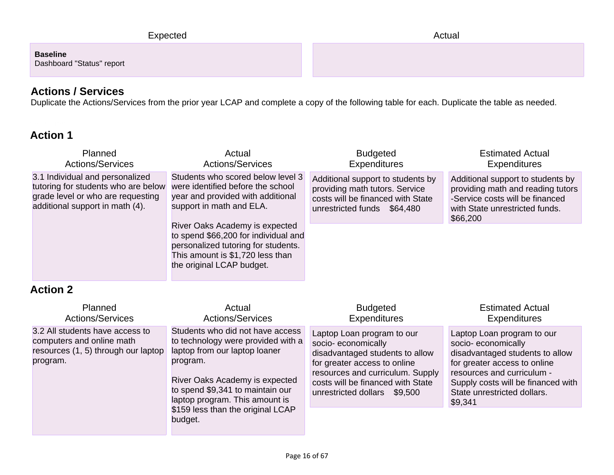### Expected Actual Actual Actual Actual Actual Actual Actual Actual Actual Actual Actual Actual Actual Actual Actual Actual Actual Actual Actual Actual Actual Actual Actual Actual Actual Actual Actual Actual Actual Actual Act

**Baseline** Dashboard "Status" report

### **Actions / [Services](#page-51-0)**

Duplicate the Actions/Services from the prior year LCAP and complete a copy of the following table for each. Duplicate the table as needed.

### **Action 1**

| Actual<br><b>Actions/Services</b>                                                                                                                                                                                                                                                                                    | <b>Budgeted</b><br><b>Expenditures</b>                                                                                                                                                                                       | <b>Estimated Actual</b><br><b>Expenditures</b>                                                                                                                                                                                    |
|----------------------------------------------------------------------------------------------------------------------------------------------------------------------------------------------------------------------------------------------------------------------------------------------------------------------|------------------------------------------------------------------------------------------------------------------------------------------------------------------------------------------------------------------------------|-----------------------------------------------------------------------------------------------------------------------------------------------------------------------------------------------------------------------------------|
| <b>Actions/Services</b><br>3.1 Individual and personalized<br>Students who scored below level 3<br>tutoring for students who are below<br>were identified before the school<br>grade level or who are requesting<br>year and provided with additional<br>additional support in math (4).<br>support in math and ELA. | Additional support to students by<br>providing math tutors. Service<br>costs will be financed with State<br>unrestricted funds \$64,480                                                                                      | Additional support to students by<br>providing math and reading tutors<br>-Service costs will be financed<br>with State unrestricted funds.<br>\$66,200                                                                           |
| to spend \$66,200 for individual and<br>personalized tutoring for students.<br>This amount is \$1,720 less than<br>the original LCAP budget.                                                                                                                                                                         |                                                                                                                                                                                                                              |                                                                                                                                                                                                                                   |
|                                                                                                                                                                                                                                                                                                                      |                                                                                                                                                                                                                              |                                                                                                                                                                                                                                   |
| Actual<br><b>Actions/Services</b>                                                                                                                                                                                                                                                                                    | <b>Budgeted</b><br><b>Expenditures</b>                                                                                                                                                                                       | <b>Estimated Actual</b><br><b>Expenditures</b>                                                                                                                                                                                    |
| Students who did not have access<br>to technology were provided with a<br>laptop from our laptop loaner<br>program.<br>River Oaks Academy is expected<br>to spend \$9,341 to maintain our<br>laptop program. This amount is<br>\$159 less than the original LCAP<br>budget.                                          | Laptop Loan program to our<br>socio-economically<br>disadvantaged students to allow<br>for greater access to online<br>resources and curriculum. Supply<br>costs will be financed with State<br>unrestricted dollars \$9,500 | Laptop Loan program to our<br>socio-economically<br>disadvantaged students to allow<br>for greater access to online<br>resources and curriculum -<br>Supply costs will be financed with<br>State unrestricted dollars.<br>\$9,341 |
|                                                                                                                                                                                                                                                                                                                      | River Oaks Academy is expected                                                                                                                                                                                               |                                                                                                                                                                                                                                   |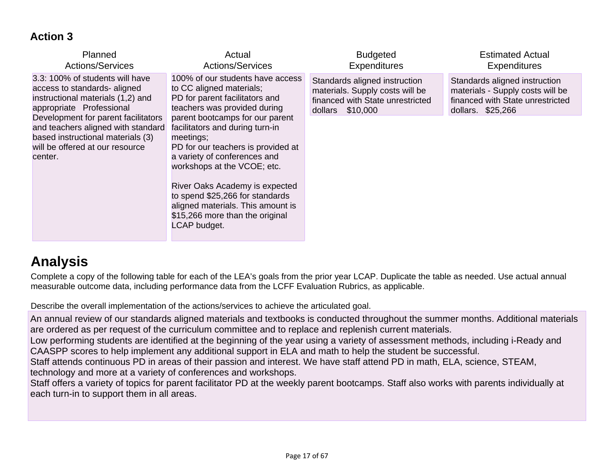### **Action 3**

| Planned                                                                                                                                                      | Actual                                                                                                                                                                                                                                                                                                                                            | <b>Budgeted</b>                  | <b>Estimated Actual</b>          |
|--------------------------------------------------------------------------------------------------------------------------------------------------------------|---------------------------------------------------------------------------------------------------------------------------------------------------------------------------------------------------------------------------------------------------------------------------------------------------------------------------------------------------|----------------------------------|----------------------------------|
| <b>Actions/Services</b>                                                                                                                                      | <b>Actions/Services</b>                                                                                                                                                                                                                                                                                                                           | <b>Expenditures</b>              | <b>Expenditures</b>              |
| 3.3: 100% of students will have                                                                                                                              | 100% of our students have access                                                                                                                                                                                                                                                                                                                  | Standards aligned instruction    | Standards aligned instruction    |
| access to standards- aligned                                                                                                                                 | to CC aligned materials;                                                                                                                                                                                                                                                                                                                          | materials. Supply costs will be  | materials - Supply costs will be |
| instructional materials (1,2) and                                                                                                                            | PD for parent facilitators and                                                                                                                                                                                                                                                                                                                    | financed with State unrestricted | financed with State unrestricted |
| appropriate Professional                                                                                                                                     | teachers was provided during                                                                                                                                                                                                                                                                                                                      | dollars \$10,000                 | dollars. \$25,266                |
| Development for parent facilitators<br>and teachers aligned with standard<br>based instructional materials (3)<br>will be offered at our resource<br>center. | parent bootcamps for our parent<br>facilitators and during turn-in<br>meetings;<br>PD for our teachers is provided at<br>a variety of conferences and<br>workshops at the VCOE; etc.<br>River Oaks Academy is expected<br>to spend \$25,266 for standards<br>aligned materials. This amount is<br>\$15,266 more than the original<br>LCAP budget. |                                  |                                  |

## **Analysis**

Complete a copy of the following table for each of the LEA's goals from the prior year LCAP. Duplicate the table as needed. Use actual annual measurable outcome data, including performance data from the LCFF Evaluation Rubrics, as applicable.

Describe the overall implementation of the actions/services to achieve the articulated goal.

An annual review of our standards aligned materials and textbooks is conducted throughout the summer months. Additional materials are ordered as per request of the curriculum committee and to replace and replenish current materials.

Low performing students are identified at the beginning of the year using a variety of assessment methods, including i-Ready and CAASPP scores to help implement any additional support in ELA and math to help the student be successful.

Staff attends continuous PD in areas of their passion and interest. We have staff attend PD in math, ELA, science, STEAM, technology and more at a variety of conferences and workshops.

Staff offers a variety of topics for parent facilitator PD at the weekly parent bootcamps. Staff also works with parents individually at each turn-in to support them in all areas.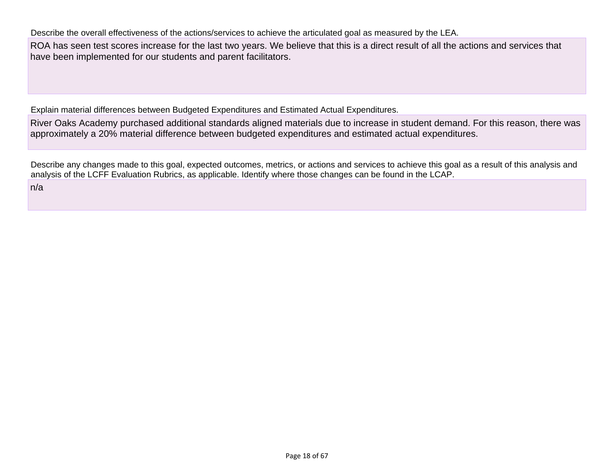Describe the overall effectiveness of the actions/services to achieve the articulated goal as measured by the LEA.

ROA has seen test scores increase for the last two years. We believe that this is a direct result of all the actions and services that have been implemented for our students and parent facilitators.

Explain material differences between Budgeted Expenditures and Estimated Actual Expenditures.

River Oaks Academy purchased additional standards aligned materials due to increase in student demand. For this reason, there was approximately a 20% material difference between budgeted expenditures and estimated actual expenditures.

Describe any changes made to this goal, expected outcomes, metrics, or actions and services to achieve this goal as a result of this analysis and analysis of the LCFF Evaluation Rubrics, as applicable. Identify where those changes can be found in the LCAP.

n/a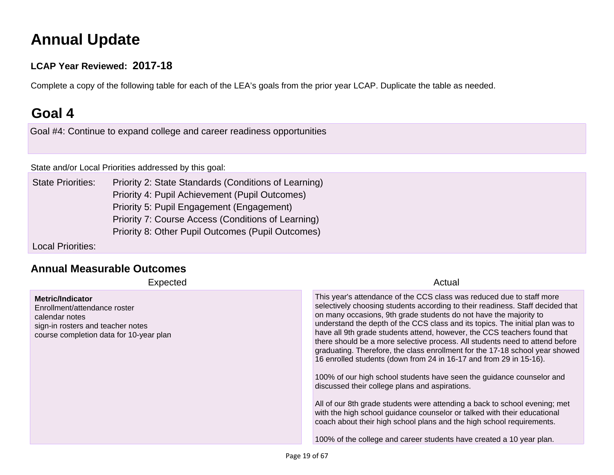## **Annual Update**

### **LCAP Year Reviewed: 2017-18**

Complete a copy of the following table for each of the LEA's goals from the prior year LCAP. Duplicate the table as needed.

### **Goal 4**

Goal #4: Continue to expand college and career readiness opportunities

State and/or Local Priorities addressed by this goal:

State Priorities: Priority 2: State Standards (Conditions of Learning) Priority 4: Pupil Achievement (Pupil Outcomes) Priority 5: Pupil Engagement (Engagement) Priority 7: Course Access (Conditions of Learning) Priority 8: Other Pupil Outcomes (Pupil Outcomes)

Local Priorities:

### **Annual Measurable Outcomes**

Expected Actual Actual Actual Actual Actual Actual Actual Actual Actual Actual Actual Actual Actual Actual Actual Actual Actual Actual Actual Actual Actual Actual Actual Actual Actual Actual Actual Actual Actual Actual Act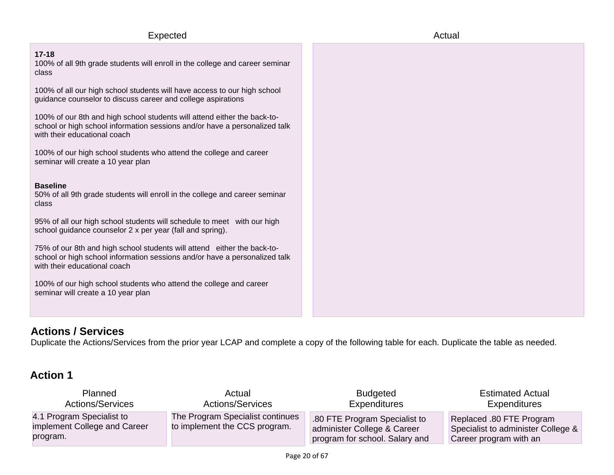| Expected                                                                                                                                                                               | Actual |
|----------------------------------------------------------------------------------------------------------------------------------------------------------------------------------------|--------|
| $17 - 18$<br>100% of all 9th grade students will enroll in the college and career seminar<br>class                                                                                     |        |
| 100% of all our high school students will have access to our high school<br>guidance counselor to discuss career and college aspirations                                               |        |
| 100% of our 8th and high school students will attend either the back-to-<br>school or high school information sessions and/or have a personalized talk<br>with their educational coach |        |
| 100% of our high school students who attend the college and career<br>seminar will create a 10 year plan                                                                               |        |
| <b>Baseline</b><br>50% of all 9th grade students will enroll in the college and career seminar<br>class                                                                                |        |
| 95% of all our high school students will schedule to meet with our high<br>school guidance counselor 2 x per year (fall and spring).                                                   |        |
| 75% of our 8th and high school students will attend either the back-to-<br>school or high school information sessions and/or have a personalized talk<br>with their educational coach  |        |
| 100% of our high school students who attend the college and career<br>seminar will create a 10 year plan                                                                               |        |

### **Actions / [Services](#page-51-0)**

Duplicate the Actions/Services from the prior year LCAP and complete a copy of the following table for each. Duplicate the table as needed.

### **Action 1**

| <b>Planned</b>                                                        | Actual                                                            | <b>Budgeted</b>                                                                                | <b>Estimated Actual</b>                                                                  |
|-----------------------------------------------------------------------|-------------------------------------------------------------------|------------------------------------------------------------------------------------------------|------------------------------------------------------------------------------------------|
| <b>Actions/Services</b>                                               | <b>Actions/Services</b>                                           | <b>Expenditures</b>                                                                            | Expenditures                                                                             |
| 4.1 Program Specialist to<br>implement College and Career<br>program. | The Program Specialist continues<br>to implement the CCS program. | .80 FTE Program Specialist to<br>administer College & Career<br>program for school. Salary and | Replaced .80 FTE Program<br>Specialist to administer College &<br>Career program with an |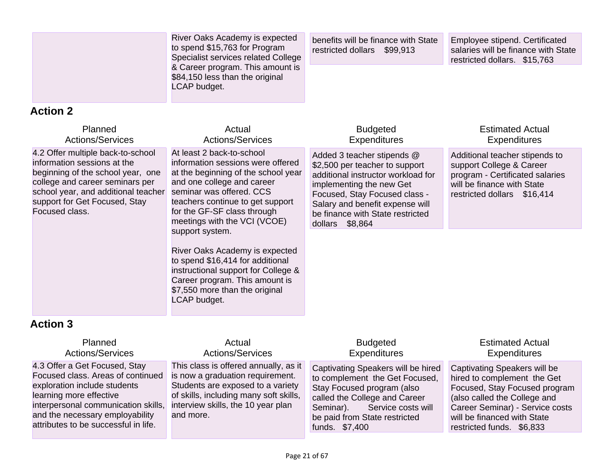|                                                                                                                                                                                                                                                                                  | River Oaks Academy is expected<br>to spend \$15,763 for Program<br>Specialist services related College                                                                                                                                                             | benefits will be finance with State<br>restricted dollars \$99,913                                                                                                                                                                                        | Employee stipend. Certificated<br>salaries will be finance with State<br>restricted dollars. \$15,763                                                                                                                       |
|----------------------------------------------------------------------------------------------------------------------------------------------------------------------------------------------------------------------------------------------------------------------------------|--------------------------------------------------------------------------------------------------------------------------------------------------------------------------------------------------------------------------------------------------------------------|-----------------------------------------------------------------------------------------------------------------------------------------------------------------------------------------------------------------------------------------------------------|-----------------------------------------------------------------------------------------------------------------------------------------------------------------------------------------------------------------------------|
|                                                                                                                                                                                                                                                                                  | & Career program. This amount is<br>\$84,150 less than the original<br>LCAP budget.                                                                                                                                                                                |                                                                                                                                                                                                                                                           |                                                                                                                                                                                                                             |
| <b>Action 2</b>                                                                                                                                                                                                                                                                  |                                                                                                                                                                                                                                                                    |                                                                                                                                                                                                                                                           |                                                                                                                                                                                                                             |
| Planned<br><b>Actions/Services</b>                                                                                                                                                                                                                                               | Actual<br><b>Actions/Services</b>                                                                                                                                                                                                                                  | <b>Budgeted</b><br><b>Expenditures</b>                                                                                                                                                                                                                    | <b>Estimated Actual</b><br><b>Expenditures</b>                                                                                                                                                                              |
| 4.2 Offer multiple back-to-school<br>information sessions at the<br>beginning of the school year, one<br>college and career seminars per<br>school year, and additional teacher<br>support for Get Focused, Stay<br>Focused class.                                               | At least 2 back-to-school<br>information sessions were offered<br>at the beginning of the school year<br>and one college and career<br>seminar was offered. CCS<br>teachers continue to get support<br>for the GF-SF class through<br>meetings with the VCI (VCOE) | Added 3 teacher stipends @<br>\$2,500 per teacher to support<br>additional instructor workload for<br>implementing the new Get<br>Focused, Stay Focused class -<br>Salary and benefit expense will<br>be finance with State restricted<br>dollars \$8,864 | Additional teacher stipends to<br>support College & Career<br>program - Certificated salaries<br>will be finance with State<br>restricted dollars \$16,414                                                                  |
|                                                                                                                                                                                                                                                                                  | support system.<br>River Oaks Academy is expected<br>to spend \$16,414 for additional<br>instructional support for College &<br>Career program. This amount is<br>\$7,550 more than the original<br>LCAP budget.                                                   |                                                                                                                                                                                                                                                           |                                                                                                                                                                                                                             |
| <b>Action 3</b>                                                                                                                                                                                                                                                                  |                                                                                                                                                                                                                                                                    |                                                                                                                                                                                                                                                           |                                                                                                                                                                                                                             |
| Planned<br><b>Actions/Services</b>                                                                                                                                                                                                                                               | Actual<br><b>Actions/Services</b>                                                                                                                                                                                                                                  | <b>Budgeted</b><br><b>Expenditures</b>                                                                                                                                                                                                                    | <b>Estimated Actual</b><br><b>Expenditures</b>                                                                                                                                                                              |
| 4.3 Offer a Get Focused, Stay<br>Focused class. Areas of continued is now a graduation requirement.<br>exploration include students<br>learning more effective<br>interpersonal communication skills,<br>and the necessary employability<br>attributes to be successful in life. | This class is offered annually, as it<br>Students are exposed to a variety<br>of skills, including many soft skills,<br>interview skills, the 10 year plan<br>and more.                                                                                            | Captivating Speakers will be hired<br>to complement the Get Focused,<br>Stay Focused program (also<br>called the College and Career<br>Service costs will<br>Seminar).<br>be paid from State restricted<br>funds. \$7,400                                 | Captivating Speakers will be<br>hired to complement the Get<br>Focused, Stay Focused program<br>(also called the College and<br>Career Seminar) - Service costs<br>will be financed with State<br>restricted funds. \$6,833 |
|                                                                                                                                                                                                                                                                                  |                                                                                                                                                                                                                                                                    |                                                                                                                                                                                                                                                           |                                                                                                                                                                                                                             |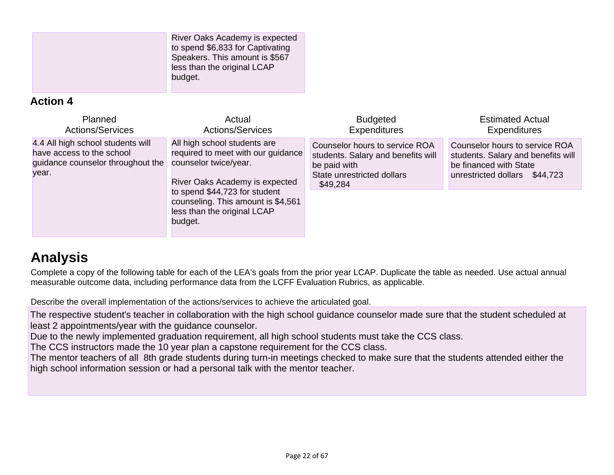|                                                                                                              | River Oaks Academy is expected<br>to spend \$6,833 for Captivating<br>Speakers. This amount is \$567<br>less than the original LCAP<br>budget. |                                                                                                                                |                                                                                                                                 |
|--------------------------------------------------------------------------------------------------------------|------------------------------------------------------------------------------------------------------------------------------------------------|--------------------------------------------------------------------------------------------------------------------------------|---------------------------------------------------------------------------------------------------------------------------------|
| <b>Action 4</b>                                                                                              |                                                                                                                                                |                                                                                                                                |                                                                                                                                 |
| Planned<br><b>Actions/Services</b>                                                                           | Actual<br><b>Actions/Services</b>                                                                                                              | <b>Budgeted</b><br><b>Expenditures</b>                                                                                         | <b>Estimated Actual</b><br><b>Expenditures</b>                                                                                  |
| 4.4 All high school students will<br>have access to the school<br>guidance counselor throughout the<br>year. | All high school students are<br>required to meet with our guidance<br>counselor twice/year.<br>River Oaks Academy is expected                  | Counselor hours to service ROA<br>students. Salary and benefits will<br>be paid with<br>State unrestricted dollars<br>\$49,284 | Counselor hours to service ROA<br>students. Salary and benefits will<br>be financed with State<br>unrestricted dollars \$44,723 |
|                                                                                                              | to spend \$44,723 for student<br>counseling. This amount is \$4,561<br>less than the original LCAP<br>budget.                                  |                                                                                                                                |                                                                                                                                 |

## **Analysis**

Complete a copy of the following table for each of the LEA's goals from the prior year LCAP. Duplicate the table as needed. Use actual annual measurable outcome data, including performance data from the LCFF Evaluation Rubrics, as applicable.

Describe the overall implementation of the actions/services to achieve the articulated goal.

The respective student's teacher in collaboration with the high school guidance counselor made sure that the student scheduled at least 2 appointments/year with the guidance counselor.

Due to the newly implemented graduation requirement, all high school students must take the CCS class.

The CCS instructors made the 10 year plan a capstone requirement for the CCS class.

The mentor teachers of all 8th grade students during turn-in meetings checked to make sure that the students attended either the high school information session or had a personal talk with the mentor teacher.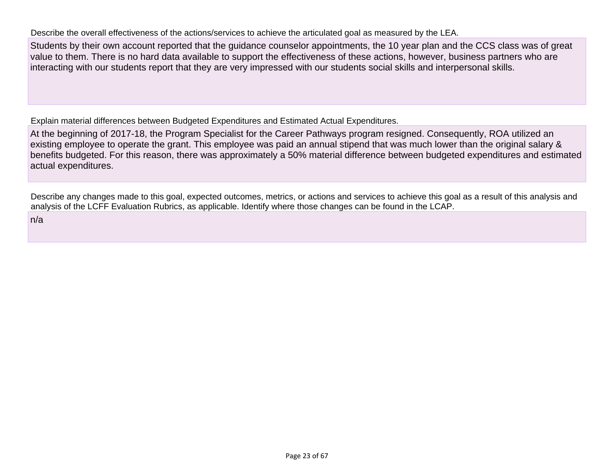#### Describe the overall effectiveness of the actions/services to achieve the articulated goal as measured by the LEA.

Students by their own account reported that the guidance counselor appointments, the 10 year plan and the CCS class was of great value to them. There is no hard data available to support the effectiveness of these actions, however, business partners who are interacting with our students report that they are very impressed with our students social skills and interpersonal skills.

Explain material differences between Budgeted Expenditures and Estimated Actual Expenditures.

At the beginning of 2017-18, the Program Specialist for the Career Pathways program resigned. Consequently, ROA utilized an existing employee to operate the grant. This employee was paid an annual stipend that was much lower than the original salary & benefits budgeted. For this reason, there was approximately a 50% material difference between budgeted expenditures and estimated actual expenditures.

Describe any changes made to this goal, expected outcomes, metrics, or actions and services to achieve this goal as a result of this analysis and analysis of the LCFF Evaluation Rubrics, as applicable. Identify where those changes can be found in the LCAP.

n/a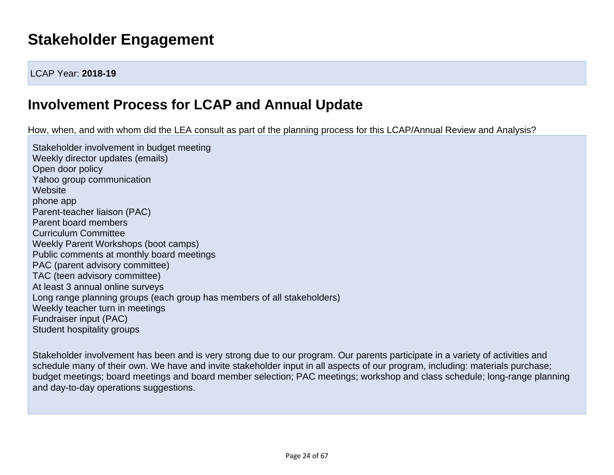## **Stakeholder Engagement**

LCAP Year: **2018-19**

### **Involvement Process for LCAP and Annual Update**

How, when, and with whom did the LEA consult as part of the planning process for this LCAP/Annual Review and Analysis?

Stakeholder involvement in budget meeting Weekly director updates (emails) Open door policy Yahoo group communication **Website** phone app Parent-teacher liaison (PAC) Parent board members Curriculum Committee Weekly Parent Workshops (boot camps) Public comments at monthly board meetings PAC (parent advisory committee) TAC (teen advisory committee) At least 3 annual online surveys Long range planning groups (each group has members of all stakeholders) Weekly teacher turn in meetings Fundraiser input (PAC) Student hospitality groups

Stakeholder involvement has been and is very strong due to our program. Our parents participate in a variety of activities and schedule many of their own. We have and invite stakeholder input in all aspects of our program, including: materials purchase; budget meetings; board meetings and board member selection; PAC meetings; workshop and class schedule; long-range planning and day-to-day operations suggestions.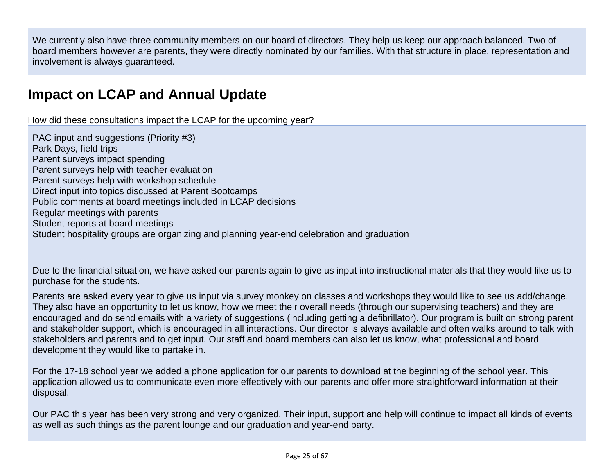We currently also have three community members on our board of directors. They help us keep our approach balanced. Two of board members however are parents, they were directly nominated by our families. With that structure in place, representation and involvement is always guaranteed.

### **Impact on LCAP and Annual Update**

How did these consultations impact the LCAP for the upcoming year?

PAC input and suggestions (Priority #3) Park Days, field trips Parent surveys impact spending Parent surveys help with teacher evaluation Parent surveys help with workshop schedule Direct input into topics discussed at Parent Bootcamps Public comments at board meetings included in LCAP decisions Regular meetings with parents Student reports at board meetings Student hospitality groups are organizing and planning year-end celebration and graduation

Due to the financial situation, we have asked our parents again to give us input into instructional materials that they would like us to purchase for the students.

Parents are asked every year to give us input via survey monkey on classes and workshops they would like to see us add/change. They also have an opportunity to let us know, how we meet their overall needs (through our supervising teachers) and they are encouraged and do send emails with a variety of suggestions (including getting a defibrillator). Our program is built on strong parent and stakeholder support, which is encouraged in all interactions. Our director is always available and often walks around to talk with stakeholders and parents and to get input. Our staff and board members can also let us know, what professional and board development they would like to partake in.

For the 17-18 school year we added a phone application for our parents to download at the beginning of the school year. This application allowed us to communicate even more effectively with our parents and offer more straightforward information at their disposal.

Our PAC this year has been very strong and very organized. Their input, support and help will continue to impact all kinds of events as well as such things as the parent lounge and our graduation and year-end party.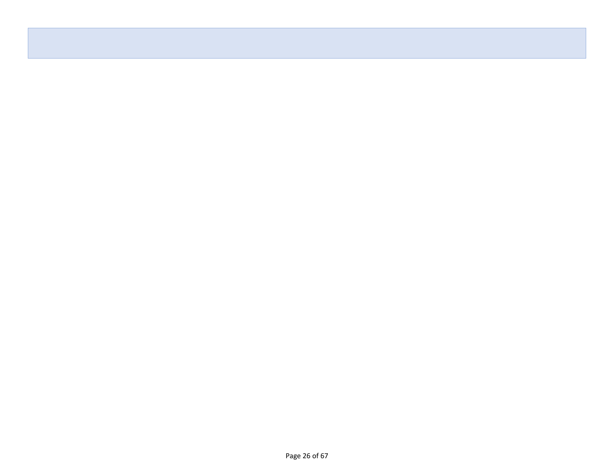Page 26 of 67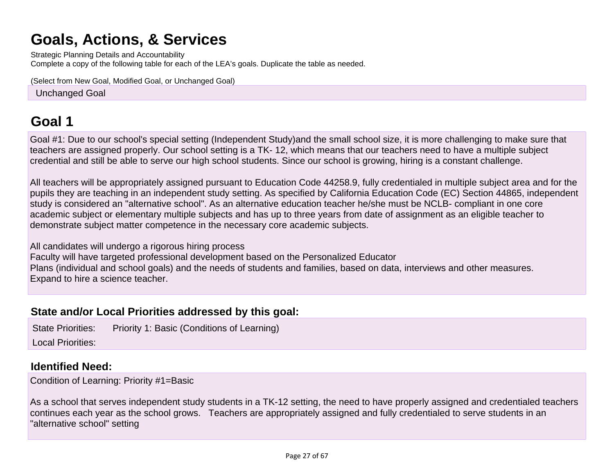## **Goals, Actions, & Services**

Strategic Planning Details and Accountability Complete a copy of the following table for each of the LEA's goals. Duplicate the table as needed.

(Select from New Goal, Modified Goal, or Unchanged Goal)

Unchanged Goal

## **Goal 1**

Goal #1: Due to our school's special setting (Independent Study)and the small school size, it is more challenging to make sure that teachers are assigned properly. Our school setting is a TK- 12, which means that our teachers need to have a multiple subject credential and still be able to serve our high school students. Since our school is growing, hiring is a constant challenge.

All teachers will be appropriately assigned pursuant to Education Code 44258.9, fully credentialed in multiple subject area and for the pupils they are teaching in an independent study setting. As specified by California Education Code (EC) Section 44865, independent study is considered an "alternative school". As an alternative education teacher he/she must be NCLB- compliant in one core academic subject or elementary multiple subjects and has up to three years from date of assignment as an eligible teacher to demonstrate subject matter competence in the necessary core academic subjects.

All candidates will undergo a rigorous hiring process

Faculty will have targeted professional development based on the Personalized Educator Plans (individual and school goals) and the needs of students and families, based on data, interviews and other measures. Expand to hire a science teacher.

### **State and/or Local Priorities addressed by this goal:**

State Priorities: Priority 1: Basic (Conditions of Learning) Local Priorities:

### **Identified Need:**

Condition of Learning: Priority #1=Basic

As a school that serves independent study students in a TK-12 setting, the need to have properly assigned and credentialed teachers continues each year as the school grows. Teachers are appropriately assigned and fully credentialed to serve students in an "alternative school" setting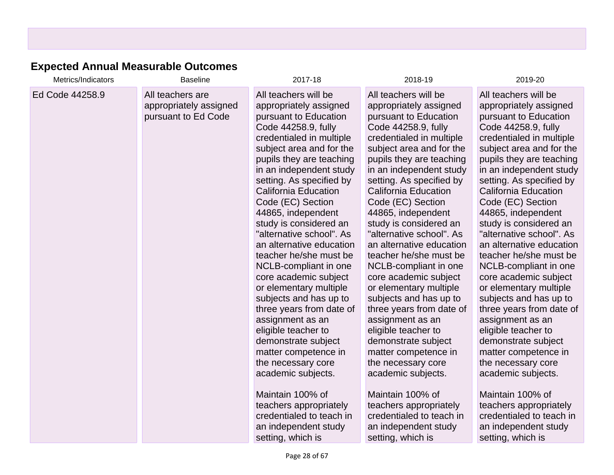### **Expected Annual Measurable Outcomes**

| Metrics/Indicators | <b>Baseline</b>                                                   | 2017-18                                                                                                                                                                                                                                                                                                                                                                                                                                                                                                                                                                                                                                                                                                                                                                                                                        | 2018-19                                                                                                                                                                                                                                                                                                                                                                                                                                                                                                                                                                                                                                                                                                                                                                                                                        | 2019-20                                                                                                                                                                                                                                                                                                                                                                                                                                                                                                                                                                                                                                                                                                                                                                                                                        |
|--------------------|-------------------------------------------------------------------|--------------------------------------------------------------------------------------------------------------------------------------------------------------------------------------------------------------------------------------------------------------------------------------------------------------------------------------------------------------------------------------------------------------------------------------------------------------------------------------------------------------------------------------------------------------------------------------------------------------------------------------------------------------------------------------------------------------------------------------------------------------------------------------------------------------------------------|--------------------------------------------------------------------------------------------------------------------------------------------------------------------------------------------------------------------------------------------------------------------------------------------------------------------------------------------------------------------------------------------------------------------------------------------------------------------------------------------------------------------------------------------------------------------------------------------------------------------------------------------------------------------------------------------------------------------------------------------------------------------------------------------------------------------------------|--------------------------------------------------------------------------------------------------------------------------------------------------------------------------------------------------------------------------------------------------------------------------------------------------------------------------------------------------------------------------------------------------------------------------------------------------------------------------------------------------------------------------------------------------------------------------------------------------------------------------------------------------------------------------------------------------------------------------------------------------------------------------------------------------------------------------------|
| Ed Code 44258.9    | All teachers are<br>appropriately assigned<br>pursuant to Ed Code | All teachers will be<br>appropriately assigned<br>pursuant to Education<br>Code 44258.9, fully<br>credentialed in multiple<br>subject area and for the<br>pupils they are teaching<br>in an independent study<br>setting. As specified by<br><b>California Education</b><br>Code (EC) Section<br>44865, independent<br>study is considered an<br>"alternative school". As<br>an alternative education<br>teacher he/she must be<br>NCLB-compliant in one<br>core academic subject<br>or elementary multiple<br>subjects and has up to<br>three years from date of<br>assignment as an<br>eligible teacher to<br>demonstrate subject<br>matter competence in<br>the necessary core<br>academic subjects.<br>Maintain 100% of<br>teachers appropriately<br>credentialed to teach in<br>an independent study<br>setting, which is | All teachers will be<br>appropriately assigned<br>pursuant to Education<br>Code 44258.9, fully<br>credentialed in multiple<br>subject area and for the<br>pupils they are teaching<br>in an independent study<br>setting. As specified by<br><b>California Education</b><br>Code (EC) Section<br>44865, independent<br>study is considered an<br>"alternative school". As<br>an alternative education<br>teacher he/she must be<br>NCLB-compliant in one<br>core academic subject<br>or elementary multiple<br>subjects and has up to<br>three years from date of<br>assignment as an<br>eligible teacher to<br>demonstrate subject<br>matter competence in<br>the necessary core<br>academic subjects.<br>Maintain 100% of<br>teachers appropriately<br>credentialed to teach in<br>an independent study<br>setting, which is | All teachers will be<br>appropriately assigned<br>pursuant to Education<br>Code 44258.9, fully<br>credentialed in multiple<br>subject area and for the<br>pupils they are teaching<br>in an independent study<br>setting. As specified by<br><b>California Education</b><br>Code (EC) Section<br>44865, independent<br>study is considered an<br>"alternative school". As<br>an alternative education<br>teacher he/she must be<br>NCLB-compliant in one<br>core academic subject<br>or elementary multiple<br>subjects and has up to<br>three years from date of<br>assignment as an<br>eligible teacher to<br>demonstrate subject<br>matter competence in<br>the necessary core<br>academic subjects.<br>Maintain 100% of<br>teachers appropriately<br>credentialed to teach in<br>an independent study<br>setting, which is |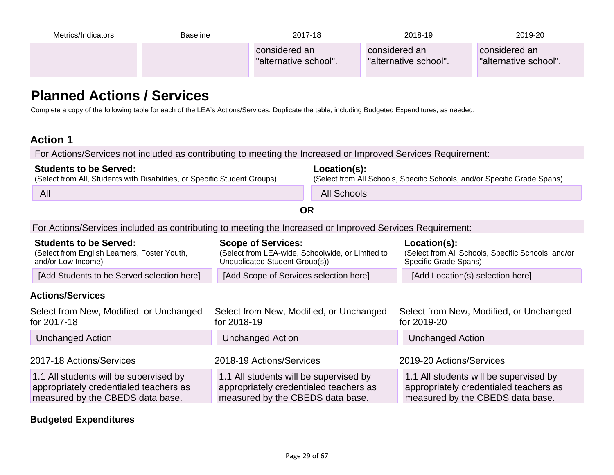| Metrics/Indicators | <b>Baseline</b> | 2017-18                                | 2018-19                                | 2019-20                                |
|--------------------|-----------------|----------------------------------------|----------------------------------------|----------------------------------------|
|                    |                 | considered an<br>"alternative school". | considered an<br>"alternative school". | considered an<br>"alternative school". |

### **Planned Actions / Services**

Complete a copy of the following table for each of the LEA's Actions/Services. Duplicate the table, including Budgeted Expenditures, as needed.

### **Action 1**

For Actions/Services not included as contributing to meeting the Increased or Improved Services Requirement:

| <b>Students to be Served:</b>                                             | Location(s):                                                             |
|---------------------------------------------------------------------------|--------------------------------------------------------------------------|
| (Select from All, Students with Disabilities, or Specific Student Groups) | (Select from All Schools, Specific Schools, and/or Specific Grade Spans) |
| All                                                                       | All Schools                                                              |

**OR**

For Actions/Services included as contributing to meeting the Increased or Improved Services Requirement:

| <b>Students to be Served:</b><br>(Select from English Learners, Foster Youth,<br>and/or Low Income)                  | <b>Scope of Services:</b><br>(Select from LEA-wide, Schoolwide, or Limited to<br>Unduplicated Student Group(s))      | Location(s):<br>(Select from All Schools, Specific Schools, and/or<br>Specific Grade Spans)                          |
|----------------------------------------------------------------------------------------------------------------------|----------------------------------------------------------------------------------------------------------------------|----------------------------------------------------------------------------------------------------------------------|
| [Add Students to be Served selection here]                                                                           | [Add Scope of Services selection here]                                                                               | [Add Location(s) selection here]                                                                                     |
| <b>Actions/Services</b>                                                                                              |                                                                                                                      |                                                                                                                      |
| Select from New, Modified, or Unchanged<br>for 2017-18                                                               | Select from New, Modified, or Unchanged<br>for 2018-19                                                               | Select from New, Modified, or Unchanged<br>for 2019-20                                                               |
| <b>Unchanged Action</b>                                                                                              | <b>Unchanged Action</b>                                                                                              | <b>Unchanged Action</b>                                                                                              |
| 2017-18 Actions/Services                                                                                             | 2018-19 Actions/Services                                                                                             | 2019-20 Actions/Services                                                                                             |
| 1.1 All students will be supervised by<br>appropriately credentialed teachers as<br>measured by the CBEDS data base. | 1.1 All students will be supervised by<br>appropriately credentialed teachers as<br>measured by the CBEDS data base. | 1.1 All students will be supervised by<br>appropriately credentialed teachers as<br>measured by the CBEDS data base. |

### **Budgeted Expenditures**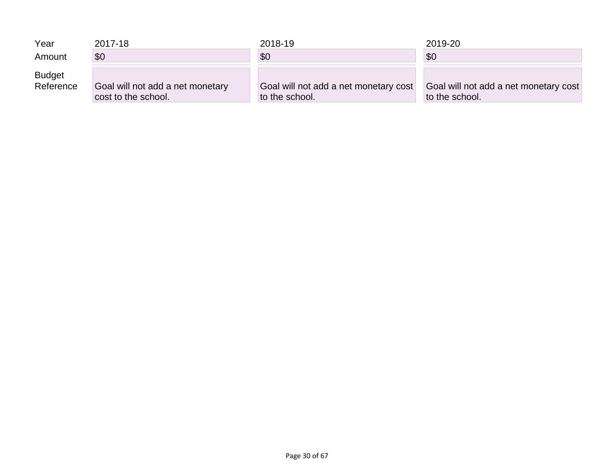| Year                       | 2017-18                          | 2018-19                               | 2019-20                               |
|----------------------------|----------------------------------|---------------------------------------|---------------------------------------|
| Amount                     | \$0                              | \$0                                   | \$0                                   |
| <b>Budget</b><br>Reference | Goal will not add a net monetary | Goal will not add a net monetary cost | Goal will not add a net monetary cost |
|                            | cost to the school.              | to the school.                        | to the school.                        |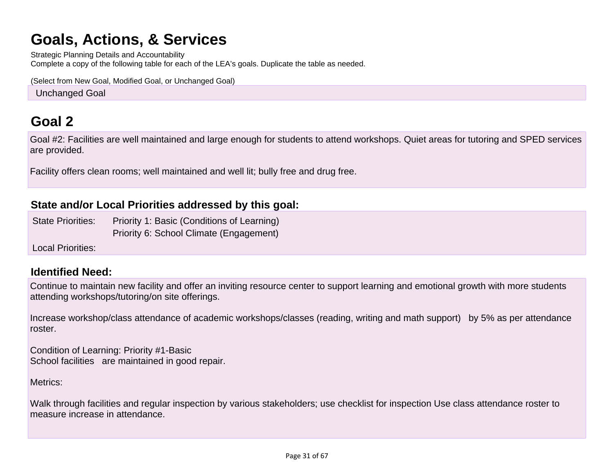## **Goals, Actions, & Services**

Strategic Planning Details and Accountability Complete a copy of the following table for each of the LEA's goals. Duplicate the table as needed.

(Select from New Goal, Modified Goal, or Unchanged Goal)

**Unchanged Goal** 

### **Goal 2**

Goal #2: Facilities are well maintained and large enough for students to attend workshops. Quiet areas for tutoring and SPED services are provided.

Facility offers clean rooms; well maintained and well lit; bully free and drug free.

### **State and/or Local Priorities addressed by this goal:**

State Priorities: Priority 1: Basic (Conditions of Learning) Priority 6: School Climate (Engagement)

Local Priorities:

### **Identified Need:**

Continue to maintain new facility and offer an inviting resource center to support learning and emotional growth with more students attending workshops/tutoring/on site offerings.

Increase workshop/class attendance of academic workshops/classes (reading, writing and math support) by 5% as per attendance roster.

Condition of Learning: Priority #1-Basic School facilities are maintained in good repair.

Metrics:

Walk through facilities and regular inspection by various stakeholders; use checklist for inspection Use class attendance roster to measure increase in attendance.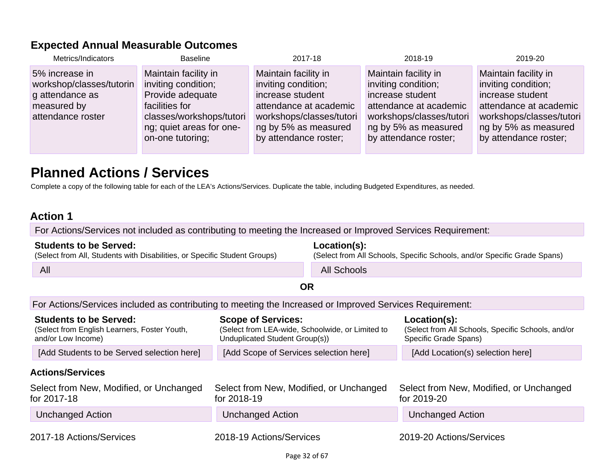### **Expected Annual Measurable Outcomes**

| Metrics/Indicators                                                                                | <b>Baseline</b>                                                                                                                                               | 2017-18                                                                                                                                                                | 2018-19                                                                                                                                                                | 2019-20                                                                                                                                                                |
|---------------------------------------------------------------------------------------------------|---------------------------------------------------------------------------------------------------------------------------------------------------------------|------------------------------------------------------------------------------------------------------------------------------------------------------------------------|------------------------------------------------------------------------------------------------------------------------------------------------------------------------|------------------------------------------------------------------------------------------------------------------------------------------------------------------------|
| 5% increase in<br>workshop/classes/tutorin<br>g attendance as<br>measured by<br>attendance roster | Maintain facility in<br>inviting condition;<br>Provide adequate<br>facilities for<br>classes/workshops/tutori<br>ng; quiet areas for one-<br>on-one tutoring; | Maintain facility in<br>inviting condition;<br>increase student<br>attendance at academic<br>workshops/classes/tutori<br>ng by 5% as measured<br>by attendance roster; | Maintain facility in<br>inviting condition;<br>increase student<br>attendance at academic<br>workshops/classes/tutori<br>ng by 5% as measured<br>by attendance roster; | Maintain facility in<br>inviting condition;<br>increase student<br>attendance at academic<br>workshops/classes/tutori<br>ng by 5% as measured<br>by attendance roster; |

### **Planned Actions / Services**

Complete a copy of the following table for each of the LEA's Actions/Services. Duplicate the table, including Budgeted Expenditures, as needed.

### **Action 1**

For Actions/Services not included as contributing to meeting the Increased or Improved Services Requirement:

| <b>Students to be Served:</b><br>(Select from All, Students with Disabilities, or Specific Student Groups) | Location(s):<br>(Select from All Schools, Specific Schools, and/or Specific Grade Spans) |
|------------------------------------------------------------------------------------------------------------|------------------------------------------------------------------------------------------|
| All                                                                                                        | All Schools                                                                              |
|                                                                                                            | σn                                                                                       |

**OR**

For Actions/Services included as contributing to meeting the Increased or Improved Services Requirement:

| <b>Students to be Served:</b><br>(Select from English Learners, Foster Youth,<br>and/or Low Income) | <b>Scope of Services:</b><br>(Select from LEA-wide, Schoolwide, or Limited to<br>Unduplicated Student Group(s)) | Location(s):<br>(Select from All Schools, Specific Schools, and/or<br>Specific Grade Spans) |
|-----------------------------------------------------------------------------------------------------|-----------------------------------------------------------------------------------------------------------------|---------------------------------------------------------------------------------------------|
| [Add Students to be Served selection here]                                                          | [Add Scope of Services selection here]                                                                          | [Add Location(s) selection here]                                                            |
| <b>Actions/Services</b>                                                                             |                                                                                                                 |                                                                                             |
|                                                                                                     |                                                                                                                 |                                                                                             |
| Select from New, Modified, or Unchanged<br>for 2017-18                                              | Select from New, Modified, or Unchanged<br>for 2018-19                                                          | Select from New, Modified, or Unchanged<br>for 2019-20                                      |
| <b>Unchanged Action</b>                                                                             | Unchanged Action                                                                                                | <b>Unchanged Action</b>                                                                     |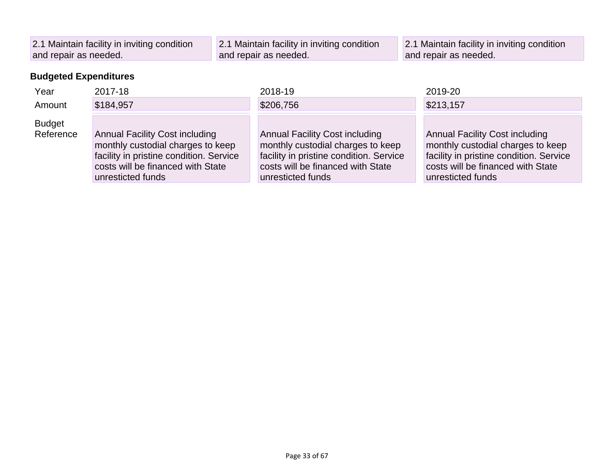| 2.1 Maintain facility in inviting condition | 2.1 Maintain facility in inviting condition | 2.1 Maintain facility in inviting condition |
|---------------------------------------------|---------------------------------------------|---------------------------------------------|
| and repair as needed.                       | and repair as needed.                       | and repair as needed.                       |

| Year                       | 2017-18                                                                                                                                                                         | 2018-19                                                                                                                                                                         | 2019-20                                                                                                                                                                         |
|----------------------------|---------------------------------------------------------------------------------------------------------------------------------------------------------------------------------|---------------------------------------------------------------------------------------------------------------------------------------------------------------------------------|---------------------------------------------------------------------------------------------------------------------------------------------------------------------------------|
| Amount                     | \$184,957                                                                                                                                                                       | \$206,756                                                                                                                                                                       | \$213,157                                                                                                                                                                       |
| <b>Budget</b><br>Reference | <b>Annual Facility Cost including</b><br>monthly custodial charges to keep<br>facility in pristine condition. Service<br>costs will be financed with State<br>unresticted funds | <b>Annual Facility Cost including</b><br>monthly custodial charges to keep<br>facility in pristine condition. Service<br>costs will be financed with State<br>unresticted funds | <b>Annual Facility Cost including</b><br>monthly custodial charges to keep<br>facility in pristine condition. Service<br>costs will be financed with State<br>unresticted funds |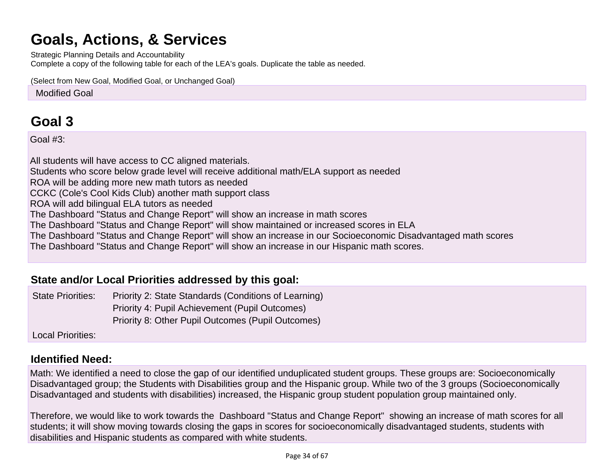## **Goals, Actions, & Services**

Strategic Planning Details and Accountability Complete a copy of the following table for each of the LEA's goals. Duplicate the table as needed.

(Select from New Goal, Modified Goal, or Unchanged Goal)

**Modified Goal** 

## **Goal 3**

Goal #3:

All students will have access to CC aligned materials. Students who score below grade level will receive additional math/ELA support as needed ROA will be adding more new math tutors as needed CCKC (Cole's Cool Kids Club) another math support class ROA will add bilingual ELA tutors as needed The Dashboard "Status and Change Report" will show an increase in math scores The Dashboard "Status and Change Report" will show maintained or increased scores in ELA The Dashboard "Status and Change Report" will show an increase in our Socioeconomic Disadvantaged math scores The Dashboard "Status and Change Report" will show an increase in our Hispanic math scores.

### **State and/or Local Priorities addressed by this goal:**

State Priorities: Priority 2: State Standards (Conditions of Learning) Priority 4: Pupil Achievement (Pupil Outcomes) Priority 8: Other Pupil Outcomes (Pupil Outcomes)

Local Priorities:

### **Identified Need:**

Math: We identified a need to close the gap of our identified unduplicated student groups. These groups are: Socioeconomically Disadvantaged group; the Students with Disabilities group and the Hispanic group. While two of the 3 groups (Socioeconomically Disadvantaged and students with disabilities) increased, the Hispanic group student population group maintained only.

Therefore, we would like to work towards the Dashboard "Status and Change Report" showing an increase of math scores for all students; it will show moving towards closing the gaps in scores for socioeconomically disadvantaged students, students with disabilities and Hispanic students as compared with white students.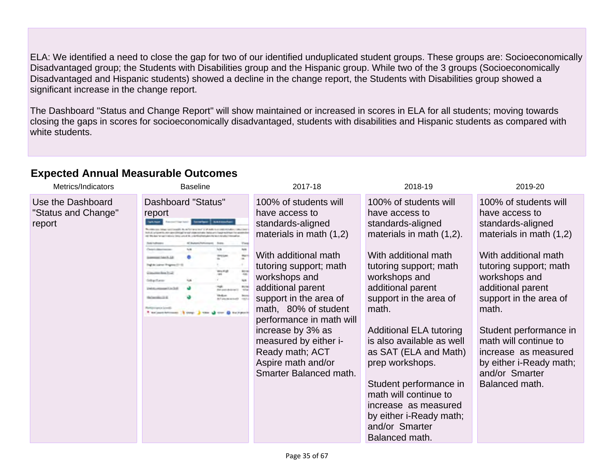ELA: We identified a need to close the gap for two of our identified unduplicated student groups. These groups are: Socioeconomically Disadvantaged group; the Students with Disabilities group and the Hispanic group. While two of the 3 groups (Socioeconomically Disadvantaged and Hispanic students) showed a decline in the change report, the Students with Disabilities group showed a significant increase in the change report.

The Dashboard "Status and Change Report" will show maintained or increased in scores in ELA for all students; moving towards closing the gaps in scores for socioeconomically disadvantaged, students with disabilities and Hispanic students as compared with white students.

### **Expected Annual Measurable Outcomes**

| Metrics/Indicators                                 | <b>Baseline</b>                                                                                                                                                                                                                                                                                                                                                                                                                                                                                                                                                                                                                                                                                                                        | 2017-18                                                                                                                                                                                                                                                                                                                                                                          | 2018-19                                                                                                                                                                                                                                                                                                                                                                                                                                                                     | 2019-20                                                                                                                                                                                                                                                                                                                                                      |
|----------------------------------------------------|----------------------------------------------------------------------------------------------------------------------------------------------------------------------------------------------------------------------------------------------------------------------------------------------------------------------------------------------------------------------------------------------------------------------------------------------------------------------------------------------------------------------------------------------------------------------------------------------------------------------------------------------------------------------------------------------------------------------------------------|----------------------------------------------------------------------------------------------------------------------------------------------------------------------------------------------------------------------------------------------------------------------------------------------------------------------------------------------------------------------------------|-----------------------------------------------------------------------------------------------------------------------------------------------------------------------------------------------------------------------------------------------------------------------------------------------------------------------------------------------------------------------------------------------------------------------------------------------------------------------------|--------------------------------------------------------------------------------------------------------------------------------------------------------------------------------------------------------------------------------------------------------------------------------------------------------------------------------------------------------------|
| Use the Dashboard<br>"Status and Change"<br>report | Dashboard "Status"<br>report<br>locally by a furniture and in all addition controlled industrials<br>with other approximately never colored maintains. Stated and yield approximately the approximate<br>The boy terms institute lists are at the critician instantial contribution of the contribu-<br><b>W. Bushamo Parksmannis Board</b><br>Teleficial defendances<br><b>IRVS LANK</b><br><b>Scientifical Editor R. S.D.</b><br>Dayt de Leather Programs (1-12)<br>wy Kult<br><b>Electric Rex 2-12</b><br><b>Didisput Jummer</b><br>22<br>ings<br>Ferneshören 1<br>Dalck-HouseA Lin Dd<br><b>BOMBARK</b><br><b>RF PAINWORK TRE</b><br><b>Ruttarropo's Lead</b><br>I was all our di turnpool<br><b>R. Mary Lowerto Reference and</b> | 100% of students will<br>have access to<br>standards-aligned<br>materials in math $(1,2)$<br>With additional math<br>tutoring support; math<br>workshops and<br>additional parent<br>support in the area of<br>math, 80% of student<br>performance in math will<br>increase by 3% as<br>measured by either i-<br>Ready math; ACT<br>Aspire math and/or<br>Smarter Balanced math. | 100% of students will<br>have access to<br>standards-aligned<br>materials in math $(1,2)$ .<br>With additional math<br>tutoring support; math<br>workshops and<br>additional parent<br>support in the area of<br>math.<br><b>Additional ELA tutoring</b><br>is also available as well<br>as SAT (ELA and Math)<br>prep workshops.<br>Student performance in<br>math will continue to<br>increase as measured<br>by either i-Ready math;<br>and/or Smarter<br>Balanced math. | 100% of students will<br>have access to<br>standards-aligned<br>materials in math (1,2)<br>With additional math<br>tutoring support; math<br>workshops and<br>additional parent<br>support in the area of<br>math.<br>Student performance in<br>math will continue to<br>increase as measured<br>by either i-Ready math;<br>and/or Smarter<br>Balanced math. |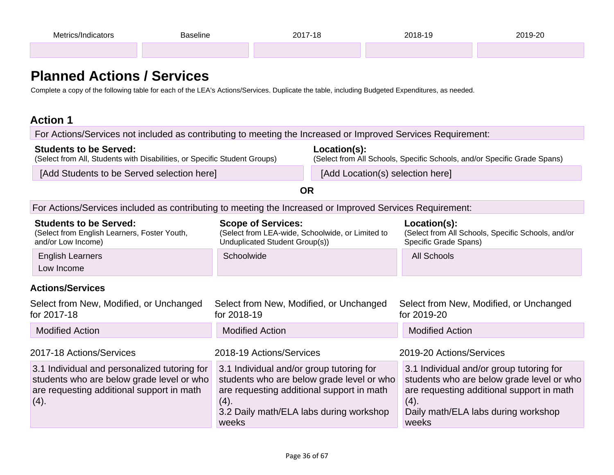| Matrice/li<br>Эπ | ∵≏eline | <b>2017 10</b><br>201 | ⊾ י∩חר<br>טוי<br>. v | $\sim$<br>_ w |
|------------------|---------|-----------------------|----------------------|---------------|
|                  |         |                       |                      |               |

### **Planned Actions / Services**

Complete a copy of the following table for each of the LEA's Actions/Services. Duplicate the table, including Budgeted Expenditures, as needed.

### **Action 1**

| For Actions/Services not included as contributing to meeting the Increased or Improved Services Requirement:                                   |                                                                                                                                                                                                |                                                                                          |                                                                                                                                                                                            |
|------------------------------------------------------------------------------------------------------------------------------------------------|------------------------------------------------------------------------------------------------------------------------------------------------------------------------------------------------|------------------------------------------------------------------------------------------|--------------------------------------------------------------------------------------------------------------------------------------------------------------------------------------------|
| <b>Students to be Served:</b><br>(Select from All, Students with Disabilities, or Specific Student Groups)                                     |                                                                                                                                                                                                | Location(s):<br>(Select from All Schools, Specific Schools, and/or Specific Grade Spans) |                                                                                                                                                                                            |
| [Add Students to be Served selection here]                                                                                                     |                                                                                                                                                                                                | [Add Location(s) selection here]                                                         |                                                                                                                                                                                            |
|                                                                                                                                                | <b>OR</b>                                                                                                                                                                                      |                                                                                          |                                                                                                                                                                                            |
| For Actions/Services included as contributing to meeting the Increased or Improved Services Requirement:                                       |                                                                                                                                                                                                |                                                                                          |                                                                                                                                                                                            |
| <b>Students to be Served:</b><br>(Select from English Learners, Foster Youth,<br>and/or Low Income)                                            | <b>Scope of Services:</b><br>(Select from LEA-wide, Schoolwide, or Limited to<br>Unduplicated Student Group(s))                                                                                |                                                                                          | Location(s):<br>(Select from All Schools, Specific Schools, and/or<br>Specific Grade Spans)                                                                                                |
| <b>English Learners</b><br>Low Income                                                                                                          | Schoolwide                                                                                                                                                                                     |                                                                                          | <b>All Schools</b>                                                                                                                                                                         |
| <b>Actions/Services</b>                                                                                                                        |                                                                                                                                                                                                |                                                                                          |                                                                                                                                                                                            |
| Select from New, Modified, or Unchanged<br>for 2017-18                                                                                         | Select from New, Modified, or Unchanged<br>for 2018-19                                                                                                                                         |                                                                                          | Select from New, Modified, or Unchanged<br>for 2019-20                                                                                                                                     |
| <b>Modified Action</b>                                                                                                                         | <b>Modified Action</b>                                                                                                                                                                         |                                                                                          | <b>Modified Action</b>                                                                                                                                                                     |
| 2017-18 Actions/Services                                                                                                                       | 2018-19 Actions/Services                                                                                                                                                                       |                                                                                          | 2019-20 Actions/Services                                                                                                                                                                   |
| 3.1 Individual and personalized tutoring for<br>students who are below grade level or who<br>are requesting additional support in math<br>(4). | 3.1 Individual and/or group tutoring for<br>students who are below grade level or who<br>are requesting additional support in math<br>(4).<br>3.2 Daily math/ELA labs during workshop<br>weeks |                                                                                          | 3.1 Individual and/or group tutoring for<br>students who are below grade level or who<br>are requesting additional support in math<br>(4).<br>Daily math/ELA labs during workshop<br>weeks |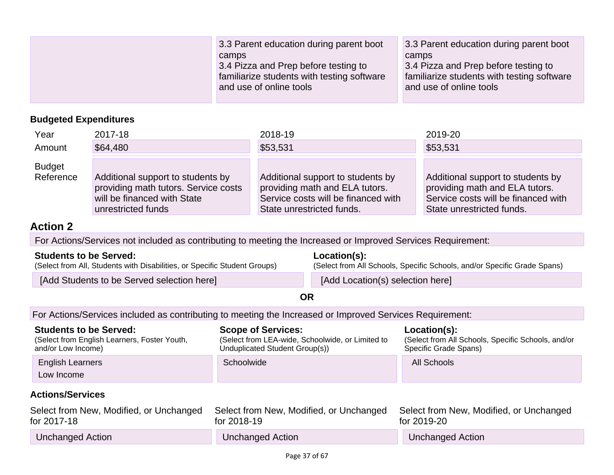| 3.3 Parent education during parent boot    | 3.3 Parent education during parent boot    |
|--------------------------------------------|--------------------------------------------|
| camps                                      | camps                                      |
| 3.4 Pizza and Prep before testing to       | 3.4 Pizza and Prep before testing to       |
| familiarize students with testing software | familiarize students with testing software |
| and use of online tools                    | and use of online tools                    |
|                                            |                                            |

| Year                       | 2017-18                                                                                                                        | 2018-19                                                                                                                                 | 2019-20                                                                                                                                 |
|----------------------------|--------------------------------------------------------------------------------------------------------------------------------|-----------------------------------------------------------------------------------------------------------------------------------------|-----------------------------------------------------------------------------------------------------------------------------------------|
| Amount                     | \$64,480                                                                                                                       | \$53,531                                                                                                                                | \$53,531                                                                                                                                |
| <b>Budget</b><br>Reference | Additional support to students by<br>providing math tutors. Service costs<br>will be financed with State<br>unrestricted funds | Additional support to students by<br>providing math and ELA tutors.<br>Service costs will be financed with<br>State unrestricted funds. | Additional support to students by<br>providing math and ELA tutors.<br>Service costs will be financed with<br>State unrestricted funds. |

### **Action 2**

For Actions/Services not included as contributing to meeting the Increased or Improved Services Requirement:

### **[Students](#page-53-0) to be Served:**

(Select from All, Students with Disabilities, or Specific Student Groups)

[Add Students to be Served selection here] [Add Location(s) selection here]

#### **Location(s):**

(Select from All Schools, Specific Schools, and/or Specific Grade Spans)

**OR**

For Actions/Services included as contributing to meeting the Increased or Improved Services Requirement:

| <b>Students to be Served:</b><br>(Select from English Learners, Foster Youth,<br>and/or Low Income) | <b>Scope of Services:</b><br>(Select from LEA-wide, Schoolwide, or Limited to<br>Unduplicated Student Group(s)) | Location(s):<br>(Select from All Schools, Specific Schools, and/or<br>Specific Grade Spans) |  |
|-----------------------------------------------------------------------------------------------------|-----------------------------------------------------------------------------------------------------------------|---------------------------------------------------------------------------------------------|--|
| <b>English Learners</b><br>Low Income                                                               | Schoolwide                                                                                                      | All Schools                                                                                 |  |
| <b>Actions/Services</b>                                                                             |                                                                                                                 |                                                                                             |  |

| Select from New, Modified, or Unchanged | Select from New, Modified, or Unchanged | Select from New, Modified, or Unchanged |  |
|-----------------------------------------|-----------------------------------------|-----------------------------------------|--|
| for 2017-18                             | for 2018-19                             | for 2019-20                             |  |
| Unchanged Action                        | Unchanged Action                        | Unchanged Action                        |  |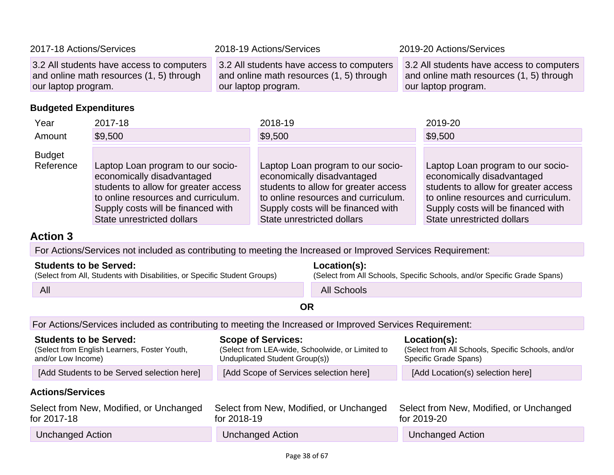| 2017-18 Actions/Services                  | 2018-19 Actions/Services                  | 2019-20 Actions/Services                  |
|-------------------------------------------|-------------------------------------------|-------------------------------------------|
| 3.2 All students have access to computers | 3.2 All students have access to computers | 3.2 All students have access to computers |
| and online math resources (1, 5) through  | and online math resources (1, 5) through  | and online math resources (1, 5) through  |
| our laptop program.                       | our laptop program.                       | our laptop program.                       |

| Year                       | 2017-18                                                                                                                                                                                                            | 2018-19                                                                                                                                                                                                            | 2019-20                                                                                                                                                                                                            |
|----------------------------|--------------------------------------------------------------------------------------------------------------------------------------------------------------------------------------------------------------------|--------------------------------------------------------------------------------------------------------------------------------------------------------------------------------------------------------------------|--------------------------------------------------------------------------------------------------------------------------------------------------------------------------------------------------------------------|
| Amount                     | \$9,500                                                                                                                                                                                                            | \$9,500                                                                                                                                                                                                            | \$9,500                                                                                                                                                                                                            |
| <b>Budget</b><br>Reference | Laptop Loan program to our socio-<br>economically disadvantaged<br>students to allow for greater access<br>to online resources and curriculum.<br>Supply costs will be financed with<br>State unrestricted dollars | Laptop Loan program to our socio-<br>economically disadvantaged<br>students to allow for greater access<br>to online resources and curriculum.<br>Supply costs will be financed with<br>State unrestricted dollars | Laptop Loan program to our socio-<br>economically disadvantaged<br>students to allow for greater access<br>to online resources and curriculum.<br>Supply costs will be financed with<br>State unrestricted dollars |

### **Action 3**

For Actions/Services not included as contributing to meeting the Increased or Improved Services Requirement:

### **[Students](#page-53-0) to be Served:**

| (Select from All, Students with Disabilities, or Specific Student Groups) | (Select from All Schools, Specific Schools, and/or Specific Grade Spans) |
|---------------------------------------------------------------------------|--------------------------------------------------------------------------|
| All                                                                       | All Schools                                                              |

**Location(s):**

**OR**

For Actions/Services included as contributing to meeting the Increased or Improved Services Requirement:

| <b>Students to be Served:</b><br>(Select from English Learners, Foster Youth,<br>and/or Low Income) | <b>Scope of Services:</b><br>(Select from LEA-wide, Schoolwide, or Limited to<br>Unduplicated Student Group(s)) | Location(s):<br>(Select from All Schools, Specific Schools, and/or<br>Specific Grade Spans) |  |  |
|-----------------------------------------------------------------------------------------------------|-----------------------------------------------------------------------------------------------------------------|---------------------------------------------------------------------------------------------|--|--|
| [Add Students to be Served selection here]                                                          | [Add Scope of Services selection here]                                                                          | [Add Location(s) selection here]                                                            |  |  |
| <b>Actions/Services</b>                                                                             |                                                                                                                 |                                                                                             |  |  |
| Select from New, Modified, or Unchanged<br>for 2017-18                                              | Select from New, Modified, or Unchanged<br>for 2018-19                                                          | Select from New, Modified, or Unchanged<br>for 2019-20                                      |  |  |
| <b>Unchanged Action</b>                                                                             | <b>Unchanged Action</b>                                                                                         | <b>Unchanged Action</b>                                                                     |  |  |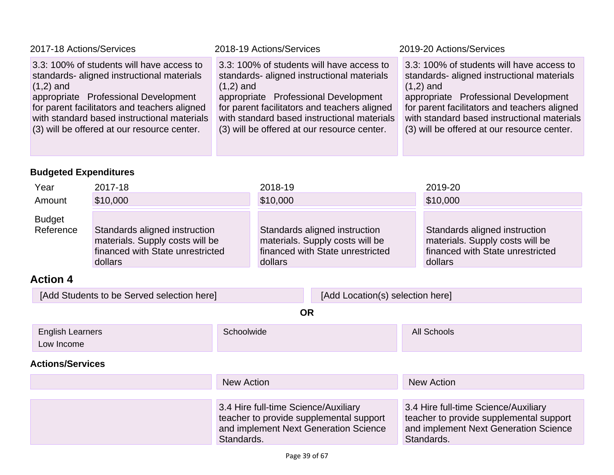| 2017-18 Actions/Services                     | 2018-19 Actions/Services                     | 2019-20 Actions/Services                     |
|----------------------------------------------|----------------------------------------------|----------------------------------------------|
| 3.3: 100% of students will have access to    | 3.3: 100% of students will have access to    | 3.3: 100% of students will have access to    |
| standards- aligned instructional materials   | standards- aligned instructional materials   | standards- aligned instructional materials   |
| $(1,2)$ and                                  | $(1,2)$ and                                  | $(1,2)$ and                                  |
| appropriate Professional Development         | appropriate Professional Development         | appropriate Professional Development         |
| for parent facilitators and teachers aligned | for parent facilitators and teachers aligned | for parent facilitators and teachers aligned |
| with standard based instructional materials  | with standard based instructional materials  | with standard based instructional materials  |
| (3) will be offered at our resource center.  | (3) will be offered at our resource center.  | (3) will be offered at our resource center.  |

| Year                       | 2017-18                                                                                                         | 2018-19                                                                                                         | 2019-20                                                                                                         |
|----------------------------|-----------------------------------------------------------------------------------------------------------------|-----------------------------------------------------------------------------------------------------------------|-----------------------------------------------------------------------------------------------------------------|
| Amount                     | \$10,000                                                                                                        | \$10,000                                                                                                        | \$10,000                                                                                                        |
| <b>Budget</b><br>Reference | Standards aligned instruction<br>materials. Supply costs will be<br>financed with State unrestricted<br>dollars | Standards aligned instruction<br>materials. Supply costs will be<br>financed with State unrestricted<br>dollars | Standards aligned instruction<br>materials. Supply costs will be<br>financed with State unrestricted<br>dollars |

### **Action 4**

| [Add Students to be Served selection here] | [Add Location(s) selection here] |
|--------------------------------------------|----------------------------------|
|--------------------------------------------|----------------------------------|

**OR**

| <b>English Learners</b><br>Low Income | Schoolwide                                                                                                                             | All Schools                                                                                                                            |
|---------------------------------------|----------------------------------------------------------------------------------------------------------------------------------------|----------------------------------------------------------------------------------------------------------------------------------------|
| <b>Actions/Services</b>               |                                                                                                                                        |                                                                                                                                        |
|                                       | New Action                                                                                                                             | <b>New Action</b>                                                                                                                      |
|                                       | 3.4 Hire full-time Science/Auxiliary<br>teacher to provide supplemental support<br>and implement Next Generation Science<br>Standards. | 3.4 Hire full-time Science/Auxiliary<br>teacher to provide supplemental support<br>and implement Next Generation Science<br>Standards. |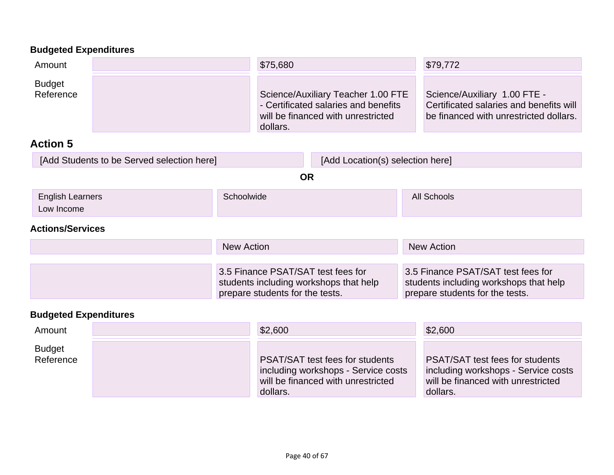| Amount                     | \$75,680                                                                                                                     | \$79,772                                                                                                          |
|----------------------------|------------------------------------------------------------------------------------------------------------------------------|-------------------------------------------------------------------------------------------------------------------|
| <b>Budget</b><br>Reference | Science/Auxiliary Teacher 1.00 FTE<br>- Certificated salaries and benefits<br>will be financed with unrestricted<br>dollars. | Science/Auxiliary 1.00 FTE -<br>Certificated salaries and benefits will<br>be financed with unrestricted dollars. |

### **Action 5**

| [Add Students to be Served selection here] | [Add Location(s) selection here] |
|--------------------------------------------|----------------------------------|
|--------------------------------------------|----------------------------------|

**OR**

| <b>English Learners</b> | Schoolwide | All Schools |
|-------------------------|------------|-------------|
| Low Income              |            |             |

### **Actions/Services**

| New Action                                                                                                      | New Action                                                                                                      |
|-----------------------------------------------------------------------------------------------------------------|-----------------------------------------------------------------------------------------------------------------|
| 3.5 Finance PSAT/SAT test fees for<br>students including workshops that help<br>prepare students for the tests. | 3.5 Finance PSAT/SAT test fees for<br>students including workshops that help<br>prepare students for the tests. |

### **Budgeted Expenditures**

| Amount                     | \$2,600                                                                                                                         | \$2,600                                                                                                                         |
|----------------------------|---------------------------------------------------------------------------------------------------------------------------------|---------------------------------------------------------------------------------------------------------------------------------|
| <b>Budget</b><br>Reference | <b>PSAT/SAT test fees for students</b><br>including workshops - Service costs<br>will be financed with unrestricted<br>dollars. | <b>PSAT/SAT test fees for students</b><br>including workshops - Service costs<br>will be financed with unrestricted<br>dollars. |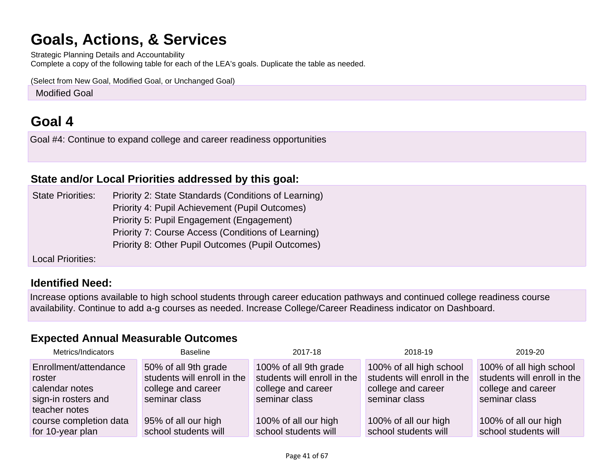## **Goals, Actions, & Services**

Strategic Planning Details and Accountability Complete a copy of the following table for each of the LEA's goals. Duplicate the table as needed.

(Select from New Goal, Modified Goal, or Unchanged Goal)

**Modified Goal** 

### **Goal 4**

Goal #4: Continue to expand college and career readiness opportunities

### **State and/or Local Priorities addressed by this goal:**

State Priorities: Priority 2: State Standards (Conditions of Learning) Priority 4: Pupil Achievement (Pupil Outcomes) Priority 5: Pupil Engagement (Engagement) Priority 7: Course Access (Conditions of Learning) Priority 8: Other Pupil Outcomes (Pupil Outcomes)

Local Priorities:

### **Identified Need:**

Increase options available to high school students through career education pathways and continued college readiness course availability. Continue to add a-g courses as needed. Increase College/Career Readiness indicator on Dashboard.

### **Expected Annual Measurable Outcomes**

| Metrics/Indicators                                     | <b>Baseline</b>                     | 2017-18                             | 2018-19                             | 2019-20                             |
|--------------------------------------------------------|-------------------------------------|-------------------------------------|-------------------------------------|-------------------------------------|
| Enrollment/attendance                                  | 50% of all 9th grade                | 100% of all 9th grade               | 100% of all high school             | 100% of all high school             |
| roster                                                 | students will enroll in the         | students will enroll in the         | students will enroll in the         | students will enroll in the         |
| calendar notes<br>sign-in rosters and<br>teacher notes | college and career<br>seminar class | college and career<br>seminar class | college and career<br>seminar class | college and career<br>seminar class |
| course completion data                                 | 95% of all our high                 | 100% of all our high                | 100% of all our high                | 100% of all our high                |
| for 10-year plan                                       | school students will                | school students will                | school students will                | school students will                |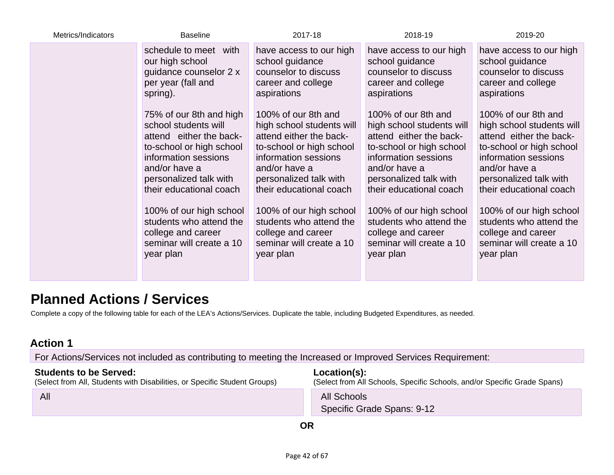| Metrics/Indicators | <b>Baseline</b>          | 2017-18                   | 2018-19                   | 2019-20                   |
|--------------------|--------------------------|---------------------------|---------------------------|---------------------------|
|                    | schedule to meet with    | have access to our high   | have access to our high   | have access to our high   |
|                    | our high school          | school guidance           | school guidance           | school guidance           |
|                    | guidance counselor 2 x   | counselor to discuss      | counselor to discuss      | counselor to discuss      |
|                    | per year (fall and       | career and college        | career and college        | career and college        |
|                    | spring).                 | aspirations               | aspirations               | aspirations               |
|                    | 75% of our 8th and high  | 100% of our 8th and       | 100% of our 8th and       | 100% of our 8th and       |
|                    | school students will     | high school students will | high school students will | high school students will |
|                    | attend either the back-  | attend either the back-   | attend either the back-   | attend either the back-   |
|                    | to-school or high school | to-school or high school  | to-school or high school  | to-school or high school  |
|                    | information sessions     | information sessions      | information sessions      | information sessions      |
|                    | and/or have a            | and/or have a             | and/or have a             | and/or have a             |
|                    | personalized talk with   | personalized talk with    | personalized talk with    | personalized talk with    |
|                    | their educational coach  | their educational coach   | their educational coach   | their educational coach   |
|                    | 100% of our high school  | 100% of our high school   | 100% of our high school   | 100% of our high school   |
|                    | students who attend the  | students who attend the   | students who attend the   | students who attend the   |
|                    | college and career       | college and career        | college and career        | college and career        |
|                    | seminar will create a 10 | seminar will create a 10  | seminar will create a 10  | seminar will create a 10  |
|                    | year plan                | year plan                 | year plan                 | year plan                 |

### **Planned Actions / Services**

Complete a copy of the following table for each of the LEA's Actions/Services. Duplicate the table, including Budgeted Expenditures, as needed.

### **Action 1**

For Actions/Services not included as contributing to meeting the Increased or Improved Services Requirement:

| <b>Students to be Served:</b>                                             | Location(s):                                                             |
|---------------------------------------------------------------------------|--------------------------------------------------------------------------|
| (Select from All, Students with Disabilities, or Specific Student Groups) | (Select from All Schools, Specific Schools, and/or Specific Grade Spans) |
| All                                                                       | All Schools<br>Specific Grade Spans: 9-12                                |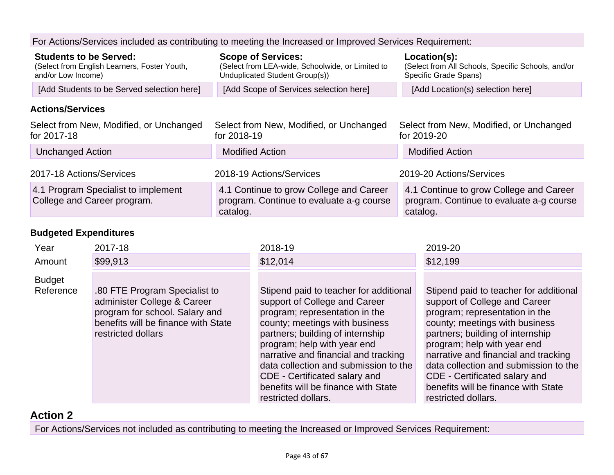| <b>Students to be Served:</b><br>(Select from English Learners, Foster Youth,<br>and/or Low Income) | <b>Scope of Services:</b><br>(Select from LEA-wide, Schoolwide, or Limited to<br>Unduplicated Student Group(s)) | Location(s):<br>(Select from All Schools, Specific Schools, and/or<br>Specific Grade Spans)     |
|-----------------------------------------------------------------------------------------------------|-----------------------------------------------------------------------------------------------------------------|-------------------------------------------------------------------------------------------------|
| [Add Students to be Served selection here]                                                          | [Add Scope of Services selection here]                                                                          | [Add Location(s) selection here]                                                                |
| <b>Actions/Services</b>                                                                             |                                                                                                                 |                                                                                                 |
| Select from New, Modified, or Unchanged<br>for 2017-18                                              | Select from New, Modified, or Unchanged<br>for 2018-19                                                          | Select from New, Modified, or Unchanged<br>for 2019-20                                          |
| <b>Unchanged Action</b>                                                                             | <b>Modified Action</b>                                                                                          | <b>Modified Action</b>                                                                          |
| 2017-18 Actions/Services                                                                            | 2018-19 Actions/Services                                                                                        | 2019-20 Actions/Services                                                                        |
| 4.1 Program Specialist to implement<br>College and Career program.                                  | 4.1 Continue to grow College and Career<br>program. Continue to evaluate a-g course<br>catalog.                 | 4.1 Continue to grow College and Career<br>program. Continue to evaluate a-g course<br>catalog. |

### For Actions/Services included as contributing to meeting the Increased or Improved Services Requirement:

### **Budgeted Expenditures**

| Year                       | 2017-18                                                                                                                                                     | 2018-19                                                                                                                                                                                                                                                                                                                                                                                        | 2019-20                                                                                                                                                                                                                                                                                                                                                                                        |
|----------------------------|-------------------------------------------------------------------------------------------------------------------------------------------------------------|------------------------------------------------------------------------------------------------------------------------------------------------------------------------------------------------------------------------------------------------------------------------------------------------------------------------------------------------------------------------------------------------|------------------------------------------------------------------------------------------------------------------------------------------------------------------------------------------------------------------------------------------------------------------------------------------------------------------------------------------------------------------------------------------------|
| Amount                     | \$99,913                                                                                                                                                    | \$12,014                                                                                                                                                                                                                                                                                                                                                                                       | \$12,199                                                                                                                                                                                                                                                                                                                                                                                       |
| <b>Budget</b><br>Reference | .80 FTE Program Specialist to<br>administer College & Career<br>program for school. Salary and<br>benefits will be finance with State<br>restricted dollars | Stipend paid to teacher for additional<br>support of College and Career<br>program; representation in the<br>county; meetings with business<br>partners; building of internship<br>program; help with year end<br>narrative and financial and tracking<br>data collection and submission to the<br>CDE - Certificated salary and<br>benefits will be finance with State<br>restricted dollars. | Stipend paid to teacher for additional<br>support of College and Career<br>program; representation in the<br>county; meetings with business<br>partners; building of internship<br>program; help with year end<br>narrative and financial and tracking<br>data collection and submission to the<br>CDE - Certificated salary and<br>benefits will be finance with State<br>restricted dollars. |

### **Action 2**

For Actions/Services not included as contributing to meeting the Increased or Improved Services Requirement: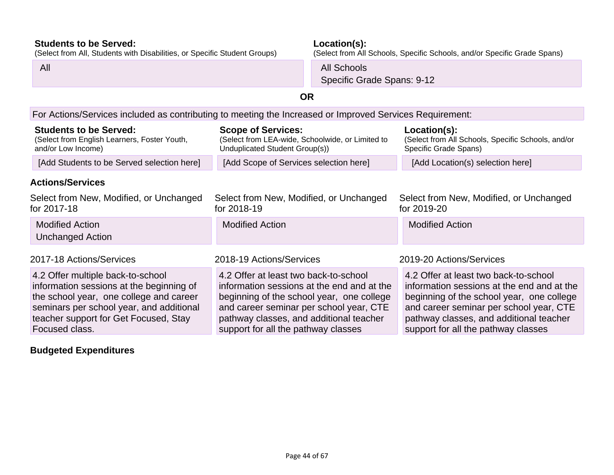### **[Students](#page-53-0) to be Served:**

(Select from All, Students with Disabilities, or Specific Student Groups)

**Location(s):** (Select from All Schools, Specific Schools, and/or Specific Grade Spans)

All Schools **All Schools** Specific Grade Spans: 9-12

### **OR**

For Actions/Services included as contributing to meeting the Increased or Improved Services Requirement:

| <b>Students to be Served:</b><br>(Select from English Learners, Foster Youth,<br>and/or Low Income)                                                                                                                             | <b>Scope of Services:</b><br>(Select from LEA-wide, Schoolwide, or Limited to<br>Unduplicated Student Group(s))                                                                                                                                               | Location(s):<br>(Select from All Schools, Specific Schools, and/or<br>Specific Grade Spans)                                                                                                                                                                   |
|---------------------------------------------------------------------------------------------------------------------------------------------------------------------------------------------------------------------------------|---------------------------------------------------------------------------------------------------------------------------------------------------------------------------------------------------------------------------------------------------------------|---------------------------------------------------------------------------------------------------------------------------------------------------------------------------------------------------------------------------------------------------------------|
| [Add Students to be Served selection here]                                                                                                                                                                                      | [Add Scope of Services selection here]                                                                                                                                                                                                                        | [Add Location(s) selection here]                                                                                                                                                                                                                              |
| <b>Actions/Services</b>                                                                                                                                                                                                         |                                                                                                                                                                                                                                                               |                                                                                                                                                                                                                                                               |
| Select from New, Modified, or Unchanged<br>for 2017-18                                                                                                                                                                          | Select from New, Modified, or Unchanged<br>for 2018-19                                                                                                                                                                                                        | Select from New, Modified, or Unchanged<br>for 2019-20                                                                                                                                                                                                        |
| <b>Modified Action</b><br><b>Unchanged Action</b>                                                                                                                                                                               | <b>Modified Action</b>                                                                                                                                                                                                                                        | <b>Modified Action</b>                                                                                                                                                                                                                                        |
| 2017-18 Actions/Services                                                                                                                                                                                                        | 2018-19 Actions/Services                                                                                                                                                                                                                                      | 2019-20 Actions/Services                                                                                                                                                                                                                                      |
| 4.2 Offer multiple back-to-school<br>information sessions at the beginning of<br>the school year, one college and career<br>seminars per school year, and additional<br>teacher support for Get Focused, Stay<br>Focused class. | 4.2 Offer at least two back-to-school<br>information sessions at the end and at the<br>beginning of the school year, one college<br>and career seminar per school year, CTE<br>pathway classes, and additional teacher<br>support for all the pathway classes | 4.2 Offer at least two back-to-school<br>information sessions at the end and at the<br>beginning of the school year, one college<br>and career seminar per school year, CTE<br>pathway classes, and additional teacher<br>support for all the pathway classes |

### **Budgeted Expenditures**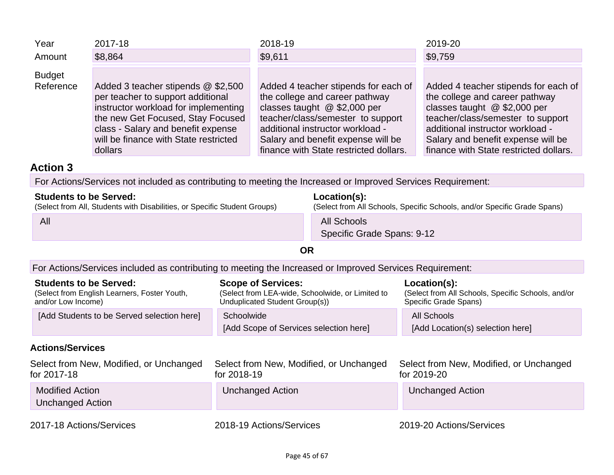| Year          | 2017-18                                                                                                                                                                                                                                        | 2018-19                                                                                                                                                                                                                                                         | 2019-20                                                                                                                                                                                                                                                         |
|---------------|------------------------------------------------------------------------------------------------------------------------------------------------------------------------------------------------------------------------------------------------|-----------------------------------------------------------------------------------------------------------------------------------------------------------------------------------------------------------------------------------------------------------------|-----------------------------------------------------------------------------------------------------------------------------------------------------------------------------------------------------------------------------------------------------------------|
| Amount        | \$8,864                                                                                                                                                                                                                                        | \$9,611                                                                                                                                                                                                                                                         | \$9,759                                                                                                                                                                                                                                                         |
| <b>Budget</b> |                                                                                                                                                                                                                                                |                                                                                                                                                                                                                                                                 |                                                                                                                                                                                                                                                                 |
| Reference     | Added 3 teacher stipends @ \$2,500<br>per teacher to support additional<br>instructor workload for implementing<br>the new Get Focused, Stay Focused<br>class - Salary and benefit expense<br>will be finance with State restricted<br>dollars | Added 4 teacher stipends for each of<br>the college and career pathway<br>classes taught @ \$2,000 per<br>teacher/class/semester to support<br>additional instructor workload -<br>Salary and benefit expense will be<br>finance with State restricted dollars. | Added 4 teacher stipends for each of<br>the college and career pathway<br>classes taught @ \$2,000 per<br>teacher/class/semester to support<br>additional instructor workload -<br>Salary and benefit expense will be<br>finance with State restricted dollars. |

### **Action 3**

For Actions/Services not included as contributing to meeting the Increased or Improved Services Requirement:

### **[Students](#page-53-0) to be Served:**

(Select from All, Students with Disabilities, or Specific Student Groups)

### **Location(s):** (Select from All Schools, Specific Schools, and/or Specific Grade Spans) All Schools **All Schools**

Specific Grade Spans: 9-12

**OR**

For Actions/Services included as contributing to meeting the Increased or Improved Services Requirement:

| <b>Students to be Served:</b><br>(Select from English Learners, Foster Youth,<br>and/or Low Income) | <b>Scope of Services:</b><br>(Select from LEA-wide, Schoolwide, or Limited to<br>Unduplicated Student Group(s)) | Location(s):<br>(Select from All Schools, Specific Schools, and/or<br>Specific Grade Spans) |
|-----------------------------------------------------------------------------------------------------|-----------------------------------------------------------------------------------------------------------------|---------------------------------------------------------------------------------------------|
| [Add Students to be Served selection here]                                                          | Schoolwide<br>[Add Scope of Services selection here]                                                            | All Schools<br>[Add Location(s) selection here]                                             |
| <b>Actions/Services</b>                                                                             |                                                                                                                 |                                                                                             |
| Select from New, Modified, or Unchanged<br>for 2017-18                                              | Select from New, Modified, or Unchanged<br>for 2018-19                                                          | Select from New, Modified, or Unchanged<br>for 2019-20                                      |
| <b>Modified Action</b><br><b>Unchanged Action</b>                                                   | <b>Unchanged Action</b>                                                                                         | <b>Unchanged Action</b>                                                                     |
| 2017-18 Actions/Services                                                                            | 2018-19 Actions/Services                                                                                        | 2019-20 Actions/Services                                                                    |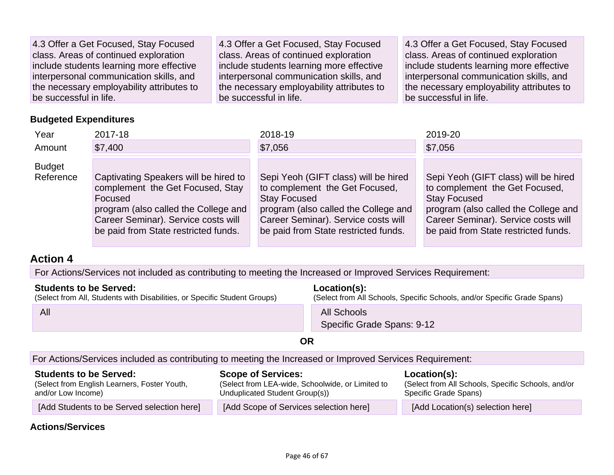| 4.3 Offer a Get Focused, Stay Focused     | 4.3 Offer a Get Focused, Stay Focused     | 4.3 Offer a Get Focused, Stay Focused     |
|-------------------------------------------|-------------------------------------------|-------------------------------------------|
| class. Areas of continued exploration     | class. Areas of continued exploration     | class. Areas of continued exploration     |
| include students learning more effective  | include students learning more effective  | include students learning more effective  |
| interpersonal communication skills, and   | interpersonal communication skills, and   | interpersonal communication skills, and   |
| the necessary employability attributes to | the necessary employability attributes to | the necessary employability attributes to |
| be successful in life.                    | be successful in life.                    | be successful in life.                    |

| Year          | 2017-18                                                                                                                                                                                                     | 2018-19                                                                                                                                                                                                              | 2019-20                                                                                                                                                                                                              |
|---------------|-------------------------------------------------------------------------------------------------------------------------------------------------------------------------------------------------------------|----------------------------------------------------------------------------------------------------------------------------------------------------------------------------------------------------------------------|----------------------------------------------------------------------------------------------------------------------------------------------------------------------------------------------------------------------|
| Amount        | \$7,400                                                                                                                                                                                                     | \$7,056                                                                                                                                                                                                              | \$7,056                                                                                                                                                                                                              |
| <b>Budget</b> |                                                                                                                                                                                                             |                                                                                                                                                                                                                      |                                                                                                                                                                                                                      |
| Reference     | Captivating Speakers will be hired to<br>complement the Get Focused, Stay<br>Focused<br>program (also called the College and<br>Career Seminar). Service costs will<br>be paid from State restricted funds. | Sepi Yeoh (GIFT class) will be hired<br>to complement the Get Focused,<br><b>Stay Focused</b><br>program (also called the College and<br>Career Seminar). Service costs will<br>be paid from State restricted funds. | Sepi Yeoh (GIFT class) will be hired<br>to complement the Get Focused,<br><b>Stay Focused</b><br>program (also called the College and<br>Career Seminar). Service costs will<br>be paid from State restricted funds. |

### **Action 4**

For Actions/Services not included as contributing to meeting the Increased or Improved Services Requirement:

### **[Students](#page-53-0) to be Served:**

(Select from All, Students with Disabilities, or Specific Student Groups)

### **Location(s):**

(Select from All Schools, Specific Schools, and/or Specific Grade Spans)

All Schools and the state of the state of the state of the state of the state of the state of the state of the Specific Grade Spans: 9-12

### **OR**

For Actions/Services included as contributing to meeting the Increased or Improved Services Requirement:

| <b>Students to be Served:</b>                                      | <b>Scope of Services:</b>                                                          | Location(s):                                                                |
|--------------------------------------------------------------------|------------------------------------------------------------------------------------|-----------------------------------------------------------------------------|
| (Select from English Learners, Foster Youth,<br>and/or Low Income) | (Select from LEA-wide, Schoolwide, or Limited to<br>Unduplicated Student Group(s)) | (Select from All Schools, Specific Schools, and/or<br>Specific Grade Spans) |
| [Add Students to be Served selection here]                         | [Add Scope of Services selection here]                                             | [Add Location(s) selection here]                                            |

### **Actions/Services**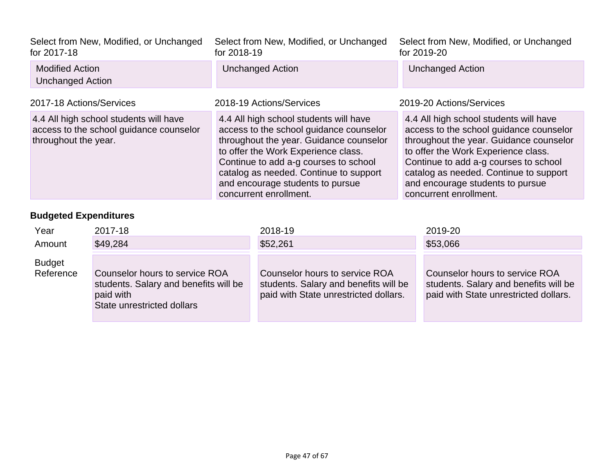| Select from New, Modified, or Unchanged<br>for 2017-18                                                    | Select from New, Modified, or Unchanged<br>for 2018-19                                                                                                                                                                                                                                                               | Select from New, Modified, or Unchanged<br>for 2019-20                                                                                                                                                                                                                                                               |
|-----------------------------------------------------------------------------------------------------------|----------------------------------------------------------------------------------------------------------------------------------------------------------------------------------------------------------------------------------------------------------------------------------------------------------------------|----------------------------------------------------------------------------------------------------------------------------------------------------------------------------------------------------------------------------------------------------------------------------------------------------------------------|
| <b>Modified Action</b><br><b>Unchanged Action</b>                                                         | <b>Unchanged Action</b>                                                                                                                                                                                                                                                                                              | <b>Unchanged Action</b>                                                                                                                                                                                                                                                                                              |
| 2017-18 Actions/Services                                                                                  | 2018-19 Actions/Services                                                                                                                                                                                                                                                                                             | 2019-20 Actions/Services                                                                                                                                                                                                                                                                                             |
| 4.4 All high school students will have<br>access to the school guidance counselor<br>throughout the year. | 4.4 All high school students will have<br>access to the school guidance counselor<br>throughout the year. Guidance counselor<br>to offer the Work Experience class.<br>Continue to add a-g courses to school<br>catalog as needed. Continue to support<br>and encourage students to pursue<br>concurrent enrollment. | 4.4 All high school students will have<br>access to the school guidance counselor<br>throughout the year. Guidance counselor<br>to offer the Work Experience class.<br>Continue to add a-g courses to school<br>catalog as needed. Continue to support<br>and encourage students to pursue<br>concurrent enrollment. |

| Year                       | 2017-18                                                                                                            | 2018-19                                                                                                          | 2019-20                                                                                                          |
|----------------------------|--------------------------------------------------------------------------------------------------------------------|------------------------------------------------------------------------------------------------------------------|------------------------------------------------------------------------------------------------------------------|
| Amount                     | \$49,284                                                                                                           | \$52,261                                                                                                         | \$53,066                                                                                                         |
| <b>Budget</b><br>Reference | Counselor hours to service ROA<br>students. Salary and benefits will be<br>paid with<br>State unrestricted dollars | Counselor hours to service ROA<br>students. Salary and benefits will be<br>paid with State unrestricted dollars. | Counselor hours to service ROA<br>students. Salary and benefits will be<br>paid with State unrestricted dollars. |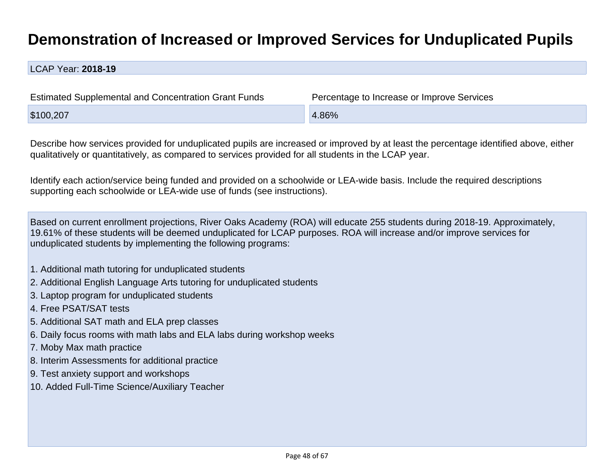## **Demonstration of Increased or Improved Services for Unduplicated Pupils**

#### LCAP Year: **2018-19**

| <b>Estimated Supplemental and Concentration Grant Funds</b> | Percentage to Increase or Improve Services |
|-------------------------------------------------------------|--------------------------------------------|
| \$100,207                                                   | 4.86%                                      |

Describe how services provided for unduplicated pupils are increased or improved by at least the percentage identified above, either qualitatively or quantitatively, as compared to services provided for all students in the LCAP year.

Identify each action/service being funded and provided on a schoolwide or LEA-wide basis. Include the required descriptions supporting each schoolwide or LEA-wide use of funds (see instructions).

Based on current enrollment projections, River Oaks Academy (ROA) will educate 255 students during 2018-19. Approximately, 19.61% of these students will be deemed unduplicated for LCAP purposes. ROA will increase and/or improve services for unduplicated students by implementing the following programs:

- 1. Additional math tutoring for unduplicated students
- 2. Additional English Language Arts tutoring for unduplicated students
- 3. Laptop program for unduplicated students
- 4. Free PSAT/SAT tests
- 5. Additional SAT math and ELA prep classes
- 6. Daily focus rooms with math labs and ELA labs during workshop weeks
- 7. Moby Max math practice
- 8. Interim Assessments for additional practice
- 9. Test anxiety support and workshops
- 10. Added Full-Time Science/Auxiliary Teacher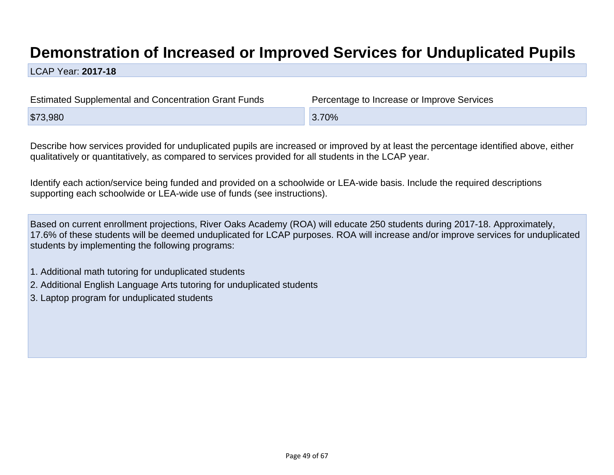## **Demonstration of Increased or Improved Services for Unduplicated Pupils**

LCAP Year: **2017-18**

| <b>Estimated Supplemental and Concentration Grant Funds</b> | Percentage to Increase or Improve Services |
|-------------------------------------------------------------|--------------------------------------------|
| \$73,980                                                    | 3.70%                                      |

Describe how services provided for unduplicated pupils are increased or improved by at least the percentage identified above, either qualitatively or quantitatively, as compared to services provided for all students in the LCAP year.

Identify each action/service being funded and provided on a schoolwide or LEA-wide basis. Include the required descriptions supporting each schoolwide or LEA-wide use of funds (see instructions).

Based on current enrollment projections, River Oaks Academy (ROA) will educate 250 students during 2017-18. Approximately, 17.6% of these students will be deemed unduplicated for LCAP purposes. ROA will increase and/or improve services for unduplicated students by implementing the following programs:

- 1. Additional math tutoring for unduplicated students
- 2. Additional English Language Arts tutoring for unduplicated students
- 3. Laptop program for unduplicated students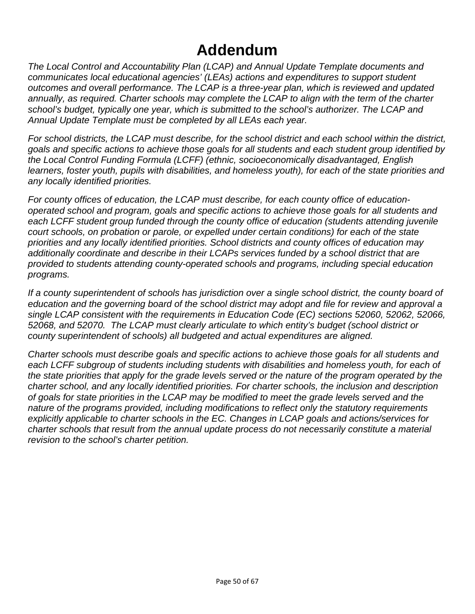## **[Addendum](#page-0-0)**

*The Local Control and Accountability Plan (LCAP) and Annual Update Template documents and communicates local educational agencies' (LEAs) actions and expenditures to support student outcomes and overall performance. The LCAP is a three-year plan, which is reviewed and updated annually, as required. Charter schools may complete the LCAP to align with the term of the charter school's budget, typically one year, which is submitted to the school's authorizer. The LCAP and Annual Update Template must be completed by all LEAs each year.*

For school districts, the LCAP must describe, for the school district and each school within the district. *goals and specific actions to achieve those goals for all students and each student group identified by the Local Control Funding Formula (LCFF) (ethnic, socioeconomically disadvantaged, English learners, foster youth, pupils with disabilities, and homeless youth), for each of the state priorities and any locally identified priorities.*

*For county offices of education, the LCAP must describe, for each county office of educationoperated school and program, goals and specific actions to achieve those goals for all students and each LCFF student group funded through the county office of education (students attending juvenile court schools, on probation or parole, or expelled under certain conditions) for each of the state priorities and any locally identified priorities. School districts and county offices of education may additionally coordinate and describe in their LCAPs services funded by a school district that are provided to students attending county-operated schools and programs, including special education programs.*

*If a county superintendent of schools has jurisdiction over a single school district, the county board of* education and the governing board of the school district may adopt and file for review and approval a *single LCAP consistent with the requirements in Education Code (EC) sections 52060, 52062, 52066, 52068, and 52070. The LCAP must clearly articulate to which entity's budget (school district or county superintendent of schools) all budgeted and actual expenditures are aligned.*

*Charter schools must describe goals and specific actions to achieve those goals for all students and each LCFF subgroup of students including students with disabilities and homeless youth, for each of* the state priorities that apply for the grade levels served or the nature of the program operated by the *charter school, and any locally identified priorities. For charter schools, the inclusion and description* of goals for state priorities in the LCAP may be modified to meet the grade levels served and the *nature of the programs provided, including modifications to reflect only the statutory requirements explicitly applicable to charter schools in the EC. Changes in LCAP goals and actions/services for charter schools that result from the annual update process do not necessarily constitute a material revision to the school's charter petition.*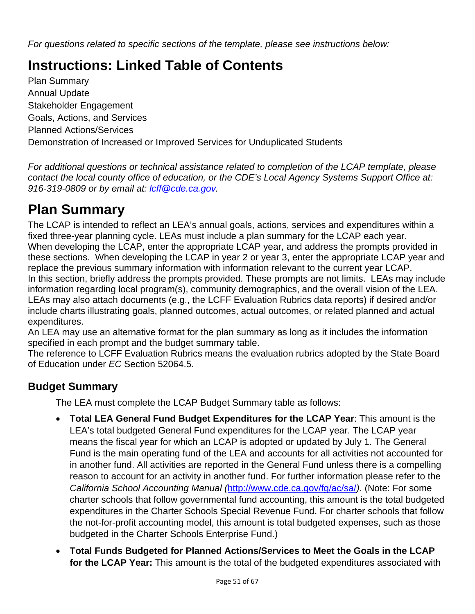*For questions related to specific sections of the template, please see instructions below:*

## **Instructions: Linked Table of Contents**

Plan [Summary](#page-50-0) Annual Update Stakeholder Engagement Goals, Actions, and Services Planned Actions/Services Demonstration of Increased or Improved Services for Unduplicated Students

*For additional questions or technical assistance related to completion of the LCAP template, please contact the local county office of education, or the CDE's Local Agency Systems Support Office at: 916-319-0809 or by email at: [lcff@cde.ca.gov](mailto:lcff@cde.ca.gov).*

## <span id="page-50-0"></span>**Plan Summary**

The LCAP is intended to reflect an LEA's annual goals, actions, services and expenditures within a fixed three-year planning cycle. LEAs must include a plan summary for the LCAP each year. When developing the LCAP, enter the appropriate LCAP year, and address the prompts provided in these sections. When developing the LCAP in year 2 or year 3, enter the appropriate LCAP year and replace the previous summary information with information relevant to the current year LCAP. In this section, briefly address the prompts provided. These prompts are not limits. LEAs may include information regarding local program(s), community demographics, and the overall vision of the LEA. LEAs may also attach documents (e.g., the LCFF Evaluation Rubrics data reports) if desired and/or include charts illustrating goals, planned outcomes, actual outcomes, or related planned and actual expenditures.

An LEA may use an alternative format for the plan summary as long as it includes the information specified in each prompt and the budget summary table.

The reference to LCFF Evaluation Rubrics means the evaluation rubrics adopted by the State Board of Education under *EC* Section 52064.5.

### **Budget Summary**

The LEA must complete the LCAP Budget Summary table as follows:

- **Total LEA General Fund Budget Expenditures for the LCAP Year**: This amount is the LEA's total budgeted General Fund expenditures for the LCAP year. The LCAP year means the fiscal year for which an LCAP is adopted or updated by July 1. The General Fund is the main operating fund of the LEA and accounts for all activities not accounted for in another fund. All activities are reported in the General Fund unless there is a compelling reason to account for an activity in another fund. For further information please refer to the *California School Accounting Manual (*<http://www.cde.ca.gov/fg/ac/sa/>*)*. (Note: For some charter schools that follow governmental fund accounting, this amount is the total budgeted expenditures in the Charter Schools Special Revenue Fund. For charter schools that follow the not-for-profit accounting model, this amount is total budgeted expenses, such as those budgeted in the Charter Schools Enterprise Fund.)
- **Total Funds Budgeted for Planned Actions/Services to Meet the Goals in the LCAP for the LCAP Year:** This amount is the total of the budgeted expenditures associated with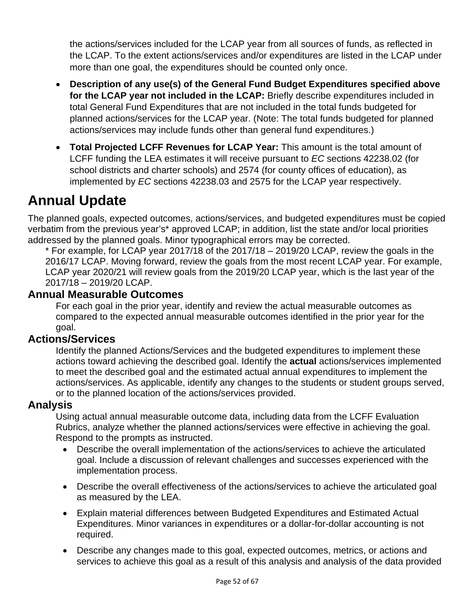the actions/services included for the LCAP year from all sources of funds, as reflected in the LCAP. To the extent actions/services and/or expenditures are listed in the LCAP under more than one goal, the expenditures should be counted only once.

- **Description of any use(s) of the General Fund Budget Expenditures specified above for the LCAP year not included in the LCAP:** Briefly describe expenditures included in total General Fund Expenditures that are not included in the total funds budgeted for planned actions/services for the LCAP year. (Note: The total funds budgeted for planned actions/services may include funds other than general fund expenditures.)
- <span id="page-51-0"></span> **Total Projected LCFF Revenues for LCAP Year:** This amount is the total amount of LCFF funding the LEA estimates it will receive pursuant to *EC* sections 42238.02 (for school districts and charter schools) and 2574 (for county offices of education), as implemented by *EC* sections 42238.03 and 2575 for the LCAP year respectively.

## **Annual Update**

The planned goals, expected outcomes, actions/services, and budgeted expenditures must be copied verbatim from the previous year's\* approved LCAP; in addition, list the state and/or local priorities addressed by the planned goals. Minor typographical errors may be corrected.

\* For example, for LCAP year 2017/18 of the 2017/18 – 2019/20 LCAP, review the goals in the 2016/17 LCAP. Moving forward, review the goals from the most recent LCAP year. For example, LCAP year 2020/21 will review goals from the 2019/20 LCAP year, which is the last year of the 2017/18 – 2019/20 LCAP.

### **Annual Measurable Outcomes**

For each goal in the prior year, identify and review the actual measurable outcomes as compared to the expected annual measurable outcomes identified in the prior year for the goal.

### **Actions/Services**

Identify the planned Actions/Services and the budgeted expenditures to implement these actions toward achieving the described goal. Identify the **actual** actions/services implemented to meet the described goal and the estimated actual annual expenditures to implement the actions/services. As applicable, identify any changes to the students or student groups served, or to the planned location of the actions/services provided.

### **Analysis**

Using actual annual measurable outcome data, including data from the LCFF Evaluation Rubrics, analyze whether the planned actions/services were effective in achieving the goal. Respond to the prompts as instructed.

- Describe the overall implementation of the actions/services to achieve the articulated goal. Include a discussion of relevant challenges and successes experienced with the implementation process.
- Describe the overall effectiveness of the actions/services to achieve the articulated goal as measured by the LEA.
- Explain material differences between Budgeted Expenditures and Estimated Actual Expenditures. Minor variances in expenditures or a dollar-for-dollar accounting is not required.
- Describe any changes made to this goal, expected outcomes, metrics, or actions and services to achieve this goal as a result of this analysis and analysis of the data provided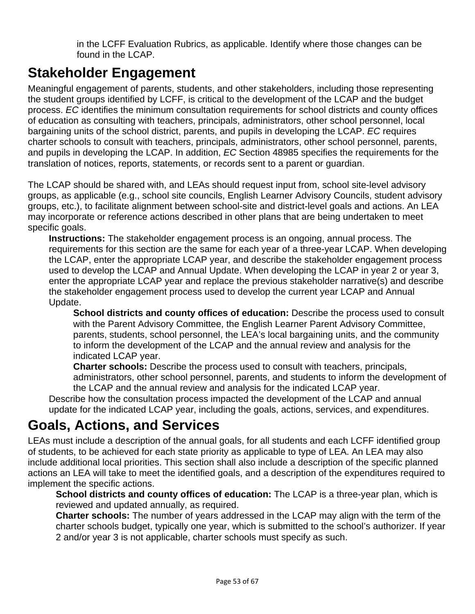in the LCFF Evaluation Rubrics, as applicable. Identify where those changes can be found in the LCAP.

## **Stakeholder Engagement**

Meaningful engagement of parents, students, and other stakeholders, including those representing the student groups identified by LCFF, is critical to the development of the LCAP and the budget process. *EC* identifies the minimum consultation requirements for school districts and county offices of education as consulting with teachers, principals, administrators, other school personnel, local bargaining units of the school district, parents, and pupils in developing the LCAP. *EC* requires charter schools to consult with teachers, principals, administrators, other school personnel, parents, and pupils in developing the LCAP. In addition, *EC* Section 48985 specifies the requirements for the translation of notices, reports, statements, or records sent to a parent or guardian.

The LCAP should be shared with, and LEAs should request input from, school site-level advisory groups, as applicable (e.g., school site councils, English Learner Advisory Councils, student advisory groups, etc.), to facilitate alignment between school-site and district-level goals and actions. An LEA may incorporate or reference actions described in other plans that are being undertaken to meet specific goals.

**Instructions:** The stakeholder engagement process is an ongoing, annual process. The requirements for this section are the same for each year of a three-year LCAP. When developing the LCAP, enter the appropriate LCAP year, and describe the stakeholder engagement process used to develop the LCAP and Annual Update. When developing the LCAP in year 2 or year 3, enter the appropriate LCAP year and replace the previous stakeholder narrative(s) and describe the stakeholder engagement process used to develop the current year LCAP and Annual Update.

**School districts and county offices of education:** Describe the process used to consult with the Parent Advisory Committee, the English Learner Parent Advisory Committee, parents, students, school personnel, the LEA's local bargaining units, and the community to inform the development of the LCAP and the annual review and analysis for the indicated LCAP year.

**Charter schools:** Describe the process used to consult with teachers, principals, administrators, other school personnel, parents, and students to inform the development of the LCAP and the annual review and analysis for the indicated LCAP year.

Describe how the consultation process impacted the development of the LCAP and annual update for the indicated LCAP year, including the goals, actions, services, and expenditures.

### **Goals, Actions, and Services**

LEAs must include a description of the annual goals, for all students and each LCFF identified group of students, to be achieved for each state priority as applicable to type of LEA. An LEA may also include additional local priorities. This section shall also include a description of the specific planned actions an LEA will take to meet the identified goals, and a description of the expenditures required to implement the specific actions.

**School districts and county offices of education:** The LCAP is a three-year plan, which is reviewed and updated annually, as required.

**Charter schools:** The number of years addressed in the LCAP may align with the term of the charter schools budget, typically one year, which is submitted to the school's authorizer. If year 2 and/or year 3 is not applicable, charter schools must specify as such.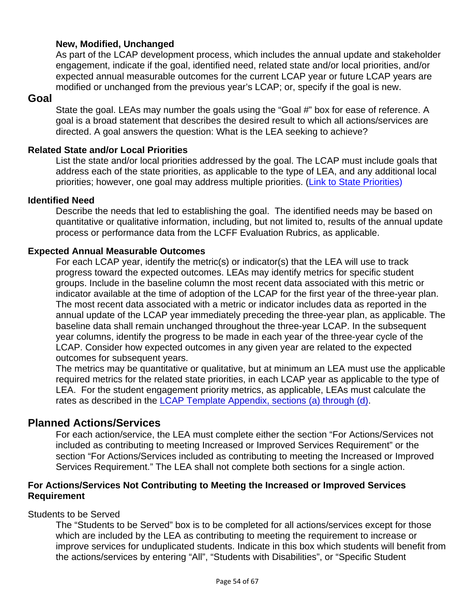### **New, Modified, Unchanged**

As part of the LCAP development process, which includes the annual update and stakeholder engagement, indicate if the goal, identified need, related state and/or local priorities, and/or expected annual measurable outcomes for the current LCAP year or future LCAP years are modified or unchanged from the previous year's LCAP; or, specify if the goal is new.

### **Goal**

State the goal. LEAs may number the goals using the "Goal #" box for ease of reference. A goal is a broad statement that describes the desired result to which all actions/services are directed. A goal answers the question: What is the LEA seeking to achieve?

#### **Related State and/or Local Priorities**

List the state and/or local priorities addressed by the goal. The LCAP must include goals that address each of the state priorities, as applicable to the type of LEA, and any additional local priorities; however, one goal may address multiple priorities. (Link to State Priorities)

#### **Identified Need**

Describe the needs that led to establishing the goal. The identified needs may be based on quantitative or qualitative information, including, but not limited to, results of the annual update process or performance data from the LCFF Evaluation Rubrics, as applicable.

#### **Expected Annual Measurable Outcomes**

For each LCAP year, identify the metric(s) or indicator(s) that the LEA will use to track progress toward the expected outcomes. LEAs may identify metrics for specific student groups. Include in the baseline column the most recent data associated with this metric or indicator available at the time of adoption of the LCAP for the first year of the three-year plan. The most recent data associated with a metric or indicator includes data as reported in the annual update of the LCAP year immediately preceding the three-year plan, as applicable. The baseline data shall remain unchanged throughout the three-year LCAP. In the subsequent year columns, identify the progress to be made in each year of the three-year cycle of the LCAP. Consider how expected outcomes in any given year are related to the expected outcomes for subsequent years.

<span id="page-53-0"></span>The metrics may be quantitative or qualitative, but at minimum an LEA must use the applicable required metrics for the related state priorities, in each LCAP year as applicable to the type of LEA. For the student engagement priority metrics, as applicable, LEAs must calculate the rates as described in the LCAP Template Appendix, sections (a) through (d).

### **Planned Actions/Services**

For each action/service, the LEA must complete either the section "For Actions/Services not included as contributing to meeting Increased or Improved Services Requirement" or the section "For Actions/Services included as contributing to meeting the Increased or Improved Services Requirement." The LEA shall not complete both sections for a single action.

#### **For Actions/Services Not Contributing to Meeting the Increased or Improved Services Requirement**

#### <span id="page-53-1"></span>Students to be Served

The "Students to be Served" box is to be completed for all actions/services except for those which are included by the LEA as contributing to meeting the requirement to increase or improve services for unduplicated students. Indicate in this box which students will benefit from the actions/services by entering "All", "Students with Disabilities", or "Specific Student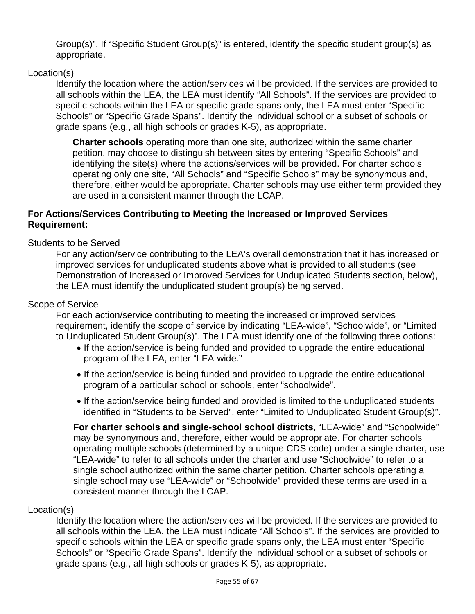Group(s)". If "Specific Student Group(s)" is entered, identify the specific student group(s) as appropriate.

### Location(s)

Identify the location where the action/services will be provided. If the services are provided to all schools within the LEA, the LEA must identify "All Schools". If the services are provided to specific schools within the LEA or specific grade spans only, the LEA must enter "Specific Schools" or "Specific Grade Spans". Identify the individual school or a subset of schools or grade spans (e.g., all high schools or grades K-5), as appropriate.

**Charter schools** operating more than one site, authorized within the same charter petition, may choose to distinguish between sites by entering "Specific Schools" and identifying the site(s) where the actions/services will be provided. For charter schools operating only one site, "All Schools" and "Specific Schools" may be synonymous and, therefore, either would be appropriate. Charter schools may use either term provided they are used in a consistent manner through the LCAP.

### **For Actions/Services Contributing to Meeting the Increased or Improved Services Requirement:**

### [Students](#page-53-1) to be Served

For any action/service contributing to the LEA's overall demonstration that it has increased or improved services for unduplicated students above what is provided to all students (see Demonstration of Increased or Improved Services for Unduplicated Students section, below), the LEA must identify the unduplicated student group(s) being served.

#### Scope of Service

For each action/service contributing to meeting the increased or improved services requirement, identify the scope of service by indicating "LEA-wide", "Schoolwide", or "Limited to Unduplicated Student Group(s)". The LEA must identify one of the following three options:

- If the action/service is being funded and provided to upgrade the entire educational program of the LEA, enter "LEA-wide."
- If the action/service is being funded and provided to upgrade the entire educational program of a particular school or schools, enter "schoolwide".
- If the action/service being funded and provided is limited to the unduplicated students identified in "Students to be Served", enter "Limited to Unduplicated Student Group(s)".

**For charter schools and single-school school districts**, "LEA-wide" and "Schoolwide" may be synonymous and, therefore, either would be appropriate. For charter schools operating multiple schools (determined by a unique CDS code) under a single charter, use "LEA-wide" to refer to all schools under the charter and use "Schoolwide" to refer to a single school authorized within the same charter petition. Charter schools operating a single school may use "LEA-wide" or "Schoolwide" provided these terms are used in a consistent manner through the LCAP.

#### Location(s)

Identify the location where the action/services will be provided. If the services are provided to all schools within the LEA, the LEA must indicate "All Schools". If the services are provided to specific schools within the LEA or specific grade spans only, the LEA must enter "Specific Schools" or "Specific Grade Spans". Identify the individual school or a subset of schools or grade spans (e.g., all high schools or grades K-5), as appropriate.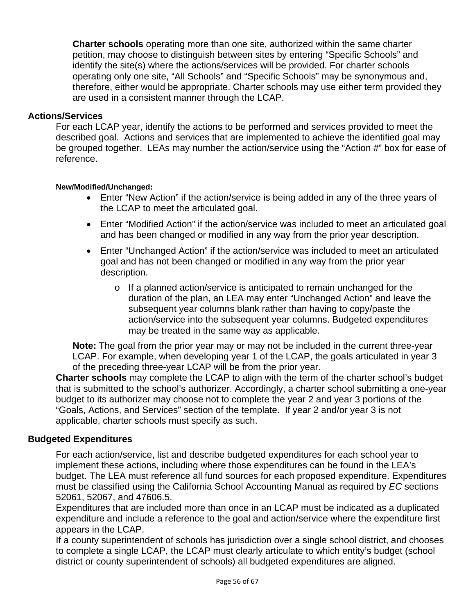**Charter schools** operating more than one site, authorized within the same charter petition, may choose to distinguish between sites by entering "Specific Schools" and identify the site(s) where the actions/services will be provided. For charter schools operating only one site, "All Schools" and "Specific Schools" may be synonymous and, therefore, either would be appropriate. Charter schools may use either term provided they are used in a consistent manner through the LCAP.

#### **Actions/Services**

For each LCAP year, identify the actions to be performed and services provided to meet the described goal. Actions and services that are implemented to achieve the identified goal may be grouped together. LEAs may number the action/service using the "Action #" box for ease of reference.

#### **New/Modified/Unchanged:**

- Enter "New Action" if the action/service is being added in any of the three years of the LCAP to meet the articulated goal.
- Enter "Modified Action" if the action/service was included to meet an articulated goal and has been changed or modified in any way from the prior year description.
- Enter "Unchanged Action" if the action/service was included to meet an articulated goal and has not been changed or modified in any way from the prior year description.
	- o If a planned action/service is anticipated to remain unchanged for the duration of the plan, an LEA may enter "Unchanged Action" and leave the subsequent year columns blank rather than having to copy/paste the action/service into the subsequent year columns. Budgeted expenditures may be treated in the same way as applicable.

**Note:** The goal from the prior year may or may not be included in the current three-year LCAP. For example, when developing year 1 of the LCAP, the goals articulated in year 3 of the preceding three-year LCAP will be from the prior year.

**Charter schools** may complete the LCAP to align with the term of the charter school's budget that is submitted to the school's authorizer. Accordingly, a charter school submitting a one-year budget to its authorizer may choose not to complete the year 2 and year 3 portions of the "Goals, Actions, and Services" section of the template. If year 2 and/or year 3 is not applicable, charter schools must specify as such.

#### **Budgeted Expenditures**

For each action/service, list and describe budgeted expenditures for each school year to implement these actions, including where those expenditures can be found in the LEA's budget. The LEA must reference all fund sources for each proposed expenditure. Expenditures must be classified using the California School Accounting Manual as required by *EC* sections 52061, 52067, and 47606.5.

Expenditures that are included more than once in an LCAP must be indicated as a duplicated expenditure and include a reference to the goal and action/service where the expenditure first appears in the LCAP.

If a county superintendent of schools has jurisdiction over a single school district, and chooses to complete a single LCAP, the LCAP must clearly articulate to which entity's budget (school district or county superintendent of schools) all budgeted expenditures are aligned.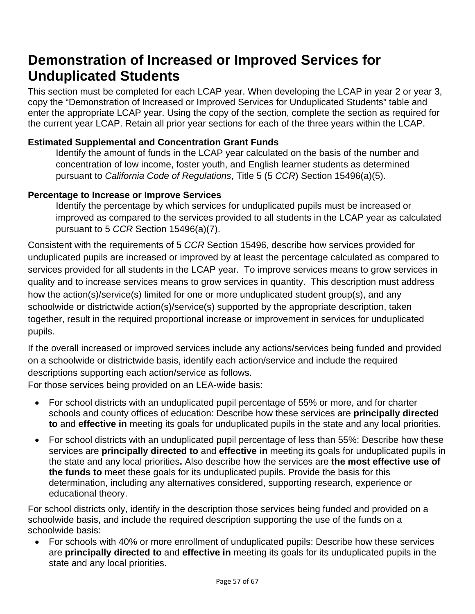## **Demonstration of Increased or Improved Services for Unduplicated Students**

This section must be completed for each LCAP year. When developing the LCAP in year 2 or year 3, copy the "Demonstration of Increased or Improved Services for Unduplicated Students" table and enter the appropriate LCAP year. Using the copy of the section, complete the section as required for the current year LCAP. Retain all prior year sections for each of the three years within the LCAP.

### **Estimated Supplemental and Concentration Grant Funds**

Identify the amount of funds in the LCAP year calculated on the basis of the number and concentration of low income, foster youth, and English learner students as determined pursuant to *California Code of Regulations*, Title 5 (5 *CCR*) Section 15496(a)(5).

### **Percentage to Increase or Improve Services**

Identify the percentage by which services for unduplicated pupils must be increased or improved as compared to the services provided to all students in the LCAP year as calculated pursuant to 5 *CCR* Section 15496(a)(7).

Consistent with the requirements of 5 *CCR* Section 15496, describe how services provided for unduplicated pupils are increased or improved by at least the percentage calculated as compared to services provided for all students in the LCAP year. To improve services means to grow services in quality and to increase services means to grow services in quantity. This description must address how the action(s)/service(s) limited for one or more unduplicated student group(s), and any schoolwide or districtwide action(s)/service(s) supported by the appropriate description, taken together, result in the required proportional increase or improvement in services for unduplicated pupils.

If the overall increased or improved services include any actions/services being funded and provided on a schoolwide or districtwide basis, identify each action/service and include the required descriptions supporting each action/service as follows.

For those services being provided on an LEA-wide basis:

- For school districts with an unduplicated pupil percentage of 55% or more, and for charter schools and county offices of education: Describe how these services are **principally directed to** and **effective in** meeting its goals for unduplicated pupils in the state and any local priorities.
- For school districts with an unduplicated pupil percentage of less than 55%: Describe how these services are **principally directed to** and **effective in** meeting its goals for unduplicated pupils in the state and any local priorities**.** Also describe how the services are **the most effective use of the funds to** meet these goals for its unduplicated pupils. Provide the basis for this determination, including any alternatives considered, supporting research, experience or educational theory.

For school districts only, identify in the description those services being funded and provided on a schoolwide basis, and include the required description supporting the use of the funds on a schoolwide basis:

 For schools with 40% or more enrollment of unduplicated pupils: Describe how these services are **principally directed to** and **effective in** meeting its goals for its unduplicated pupils in the state and any local priorities.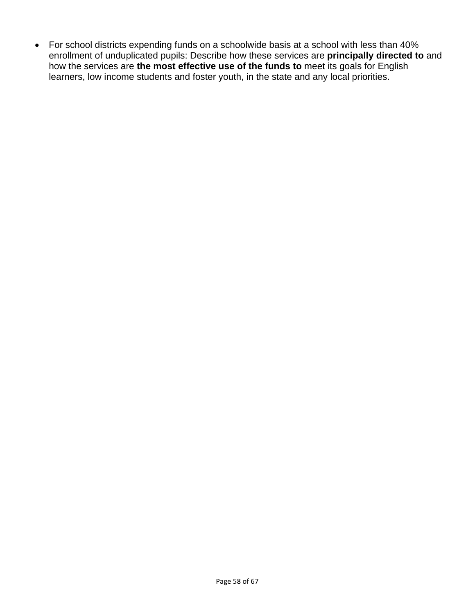For school districts expending funds on a schoolwide basis at a school with less than 40% enrollment of unduplicated pupils: Describe how these services are **principally directed to** and how the services are **the most effective use of the funds to** meet its goals for English learners, low income students and foster youth, in the state and any local priorities.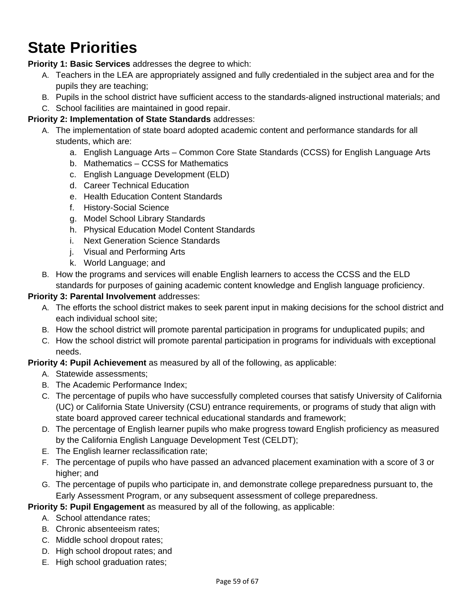## **State Priorities**

**Priority 1: Basic Services** addresses the degree to which:

- A. Teachers in the LEA are appropriately assigned and fully credentialed in the subject area and for the pupils they are teaching;
- B. Pupils in the school district have sufficient access to the standards-aligned instructional materials; and
- C. School facilities are maintained in good repair.

#### **Priority 2: Implementation of State Standards** addresses:

- A. The implementation of state board adopted academic content and performance standards for all students, which are:
	- a. English Language Arts Common Core State Standards (CCSS) for English Language Arts
	- b. Mathematics CCSS for Mathematics
	- c. English Language Development (ELD)
	- d. Career Technical Education
	- e. Health Education Content Standards
	- f. History-Social Science
	- g. Model School Library Standards
	- h. Physical Education Model Content Standards
	- i. Next Generation Science Standards
	- j. Visual and Performing Arts
	- k. World Language; and
- B. How the programs and services will enable English learners to access the CCSS and the ELD standards for purposes of gaining academic content knowledge and English language proficiency.

#### **Priority 3: Parental Involvement** addresses:

- A. The efforts the school district makes to seek parent input in making decisions for the school district and each individual school site;
- B. How the school district will promote parental participation in programs for unduplicated pupils; and
- C. How the school district will promote parental participation in programs for individuals with exceptional needs.

#### **Priority 4: Pupil Achievement** as measured by all of the following, as applicable:

- A. Statewide assessments;
- B. The Academic Performance Index;
- C. The percentage of pupils who have successfully completed courses that satisfy University of California (UC) or California State University (CSU) entrance requirements, or programs of study that align with state board approved career technical educational standards and framework;
- D. The percentage of English learner pupils who make progress toward English proficiency as measured by the California English Language Development Test (CELDT);
- E. The English learner reclassification rate;
- F. The percentage of pupils who have passed an advanced placement examination with a score of 3 or higher; and
- G. The percentage of pupils who participate in, and demonstrate college preparedness pursuant to, the Early Assessment Program, or any subsequent assessment of college preparedness.

#### **Priority 5: Pupil Engagement** as measured by all of the following, as applicable:

- A. School attendance rates;
- B. Chronic absenteeism rates;
- C. Middle school dropout rates;
- D. High school dropout rates; and
- E. High school graduation rates;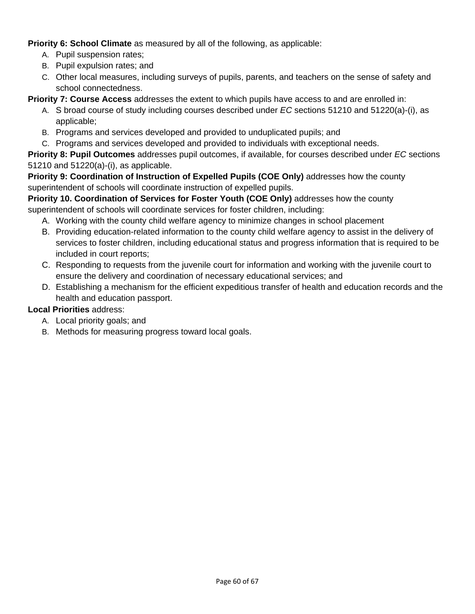**Priority 6: School Climate** as measured by all of the following, as applicable:

- A. Pupil suspension rates;
- B. Pupil expulsion rates; and
- C. Other local measures, including surveys of pupils, parents, and teachers on the sense of safety and school connectedness.

#### **Priority 7: Course Access** addresses the extent to which pupils have access to and are enrolled in:

- A. S broad course of study including courses described under *EC* sections 51210 and 51220(a)-(i), as applicable;
- B. Programs and services developed and provided to unduplicated pupils; and
- C. Programs and services developed and provided to individuals with exceptional needs.

**Priority 8: Pupil Outcomes** addresses pupil outcomes, if available, for courses described under *EC* sections 51210 and 51220(a)-(i), as applicable.

**Priority 9: Coordination of Instruction of Expelled Pupils (COE Only)** addresses how the county superintendent of schools will coordinate instruction of expelled pupils.

**Priority 10. Coordination of Services for Foster Youth (COE Only)** addresses how the county superintendent of schools will coordinate services for foster children, including:

- A. Working with the county child welfare agency to minimize changes in school placement
- B. Providing education-related information to the county child welfare agency to assist in the delivery of services to foster children, including educational status and progress information that is required to be included in court reports;
- C. Responding to requests from the juvenile court for information and working with the juvenile court to ensure the delivery and coordination of necessary educational services; and
- D. Establishing a mechanism for the efficient expeditious transfer of health and education records and the health and education passport.

### **Local Priorities** address:

- A. Local priority goals; and
- B. Methods for measuring progress toward local goals.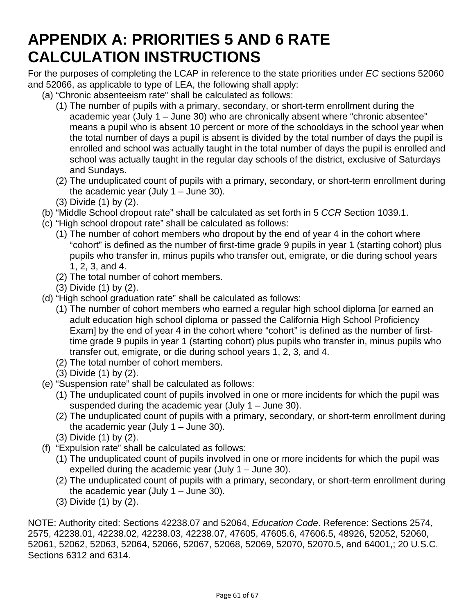## **APPENDIX A: PRIORITIES 5 AND 6 RATE CALCULATION INSTRUCTIONS**

For the purposes of completing the LCAP in reference to the state priorities under *EC* sections 52060 and 52066, as applicable to type of LEA, the following shall apply:

- (a) "Chronic absenteeism rate" shall be calculated as follows:
	- (1) The number of pupils with a primary, secondary, or short-term enrollment during the academic year (July 1 – June 30) who are chronically absent where "chronic absentee" means a pupil who is absent 10 percent or more of the schooldays in the school year when the total number of days a pupil is absent is divided by the total number of days the pupil is enrolled and school was actually taught in the total number of days the pupil is enrolled and school was actually taught in the regular day schools of the district, exclusive of Saturdays and Sundays.
	- (2) The unduplicated count of pupils with a primary, secondary, or short-term enrollment during the academic year (July  $1 -$  June 30).
	- (3) Divide (1) by (2).
- (b) "Middle School dropout rate" shall be calculated as set forth in 5 *CCR* Section 1039.1.
- (c) "High school dropout rate" shall be calculated as follows:
	- (1) The number of cohort members who dropout by the end of year 4 in the cohort where "cohort" is defined as the number of first-time grade 9 pupils in year 1 (starting cohort) plus pupils who transfer in, minus pupils who transfer out, emigrate, or die during school years 1, 2, 3, and 4.
	- (2) The total number of cohort members.
	- (3) Divide (1) by (2).
- (d) "High school graduation rate" shall be calculated as follows:
	- (1) The number of cohort members who earned a regular high school diploma [or earned an adult education high school diploma or passed the California High School Proficiency Exam] by the end of year 4 in the cohort where "cohort" is defined as the number of firsttime grade 9 pupils in year 1 (starting cohort) plus pupils who transfer in, minus pupils who transfer out, emigrate, or die during school years 1, 2, 3, and 4.
	- (2) The total number of cohort members.
	- (3) Divide (1) by (2).
- (e) "Suspension rate" shall be calculated as follows:
	- (1) The unduplicated count of pupils involved in one or more incidents for which the pupil was suspended during the academic year (July 1 – June 30).
	- (2) The unduplicated count of pupils with a primary, secondary, or short-term enrollment during the academic year (July  $1 -$  June 30).
	- (3) Divide (1) by (2).
- (f) "Expulsion rate" shall be calculated as follows:
	- (1) The unduplicated count of pupils involved in one or more incidents for which the pupil was expelled during the academic year (July 1 – June 30).
	- (2) The unduplicated count of pupils with a primary, secondary, or short-term enrollment during the academic year (July 1 – June 30).
	- (3) Divide (1) by (2).

NOTE: Authority cited: Sections 42238.07 and 52064, *Education Code*. Reference: Sections 2574, 2575, 42238.01, 42238.02, 42238.03, 42238.07, 47605, 47605.6, 47606.5, 48926, 52052, 52060, 52061, 52062, 52063, 52064, 52066, 52067, 52068, 52069, 52070, 52070.5, and 64001,; 20 U.S.C. Sections 6312 and 6314.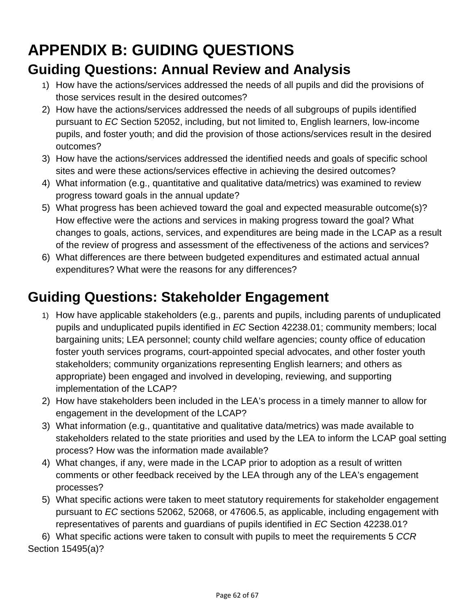## **APPENDIX B: GUIDING QUESTIONS**

## **Guiding Questions: Annual Review and Analysis**

- <span id="page-61-0"></span>1) How have the actions/services addressed the needs of all pupils and did the provisions of those services result in the desired outcomes?
- 2) How have the actions/services addressed the needs of all subgroups of pupils identified pursuant to *EC* Section 52052, including, but not limited to, English learners, low-income pupils, and foster youth; and did the provision of those actions/services result in the desired outcomes?
- 3) How have the actions/services addressed the identified needs and goals of specific school sites and were these actions/services effective in achieving the desired outcomes?
- 4) What information (e.g., quantitative and qualitative data/metrics) was examined to review progress toward goals in the annual update?
- 5) What progress has been achieved toward the goal and expected measurable outcome(s)? How effective were the actions and services in making progress toward the goal? What changes to goals, actions, services, and expenditures are being made in the LCAP as a result of the review of progress and assessment of the effectiveness of the actions and services?
- 6) What differences are there between budgeted expenditures and estimated actual annual expenditures? What were the reasons for any differences?

## **Guiding Questions: Stakeholder Engagement**

- 1) How have applicable stakeholders (e.g., parents and pupils, including parents of unduplicated pupils and unduplicated pupils identified in *EC* Section 42238.01; community members; local bargaining units; LEA personnel; county child welfare agencies; county office of education foster youth services programs, court-appointed special advocates, and other foster youth stakeholders; community organizations representing English learners; and others as appropriate) been engaged and involved in developing, reviewing, and supporting implementation of the LCAP?
- 2) How have stakeholders been included in the LEA's process in a timely manner to allow for engagement in the development of the LCAP?
- 3) What information (e.g., quantitative and qualitative data/metrics) was made available to stakeholders related to the state priorities and used by the LEA to inform the LCAP goal setting process? How was the information made available?
- 4) What changes, if any, were made in the LCAP prior to adoption as a result of written comments or other feedback received by the LEA through any of the LEA's engagement processes?
- 5) What specific actions were taken to meet statutory requirements for stakeholder engagement pursuant to *EC* sections 52062, 52068, or 47606.5, as applicable, including engagement with representatives of parents and guardians of pupils identified in *EC* Section 42238.01?

6) What specific actions were taken to consult with pupils to meet the requirements 5 *CCR* Section 15495(a)?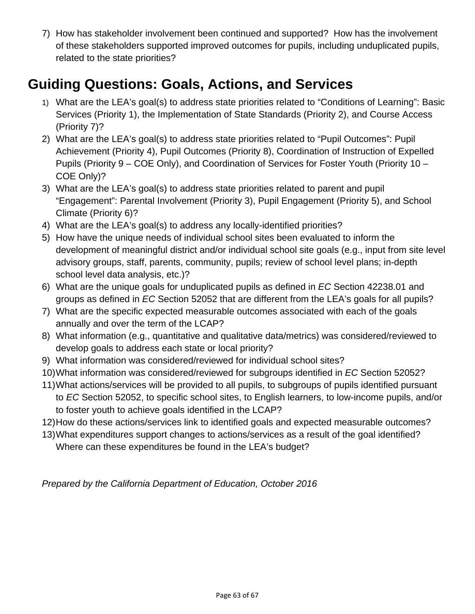7) How has stakeholder involvement been continued and supported? How has the involvement of these stakeholders supported improved outcomes for pupils, including unduplicated pupils, related to the state priorities?

## **Guiding Questions: Goals, Actions, and Services**

- 1) What are the LEA's goal(s) to address state priorities related to "Conditions of Learning": Basic Services (Priority 1), the Implementation of State Standards (Priority 2), and Course Access (Priority 7)?
- 2) What are the LEA's goal(s) to address state priorities related to "Pupil Outcomes": Pupil Achievement (Priority 4), Pupil Outcomes (Priority 8), Coordination of Instruction of Expelled Pupils (Priority 9 – COE Only), and Coordination of Services for Foster Youth (Priority 10 – COE Only)?
- 3) What are the LEA's goal(s) to address state priorities related to parent and pupil "Engagement": Parental Involvement (Priority 3), Pupil Engagement (Priority 5), and School Climate (Priority 6)?
- 4) What are the LEA's goal(s) to address any locally-identified priorities?
- 5) How have the unique needs of individual school sites been evaluated to inform the development of meaningful district and/or individual school site goals (e.g., input from site level advisory groups, staff, parents, community, pupils; review of school level plans; in-depth school level data analysis, etc.)?
- 6) What are the unique goals for unduplicated pupils as defined in *EC* Section 42238.01 and groups as defined in *EC* Section 52052 that are different from the LEA's goals for all pupils?
- 7) What are the specific expected measurable outcomes associated with each of the goals annually and over the term of the LCAP?
- 8) What information (e.g., quantitative and qualitative data/metrics) was considered/reviewed to develop goals to address each state or local priority?
- 9) What information was considered/reviewed for individual school sites?
- 10)What information was considered/reviewed for subgroups identified in *EC* Section 52052?
- 11)What actions/services will be provided to all pupils, to subgroups of pupils identified pursuant to *EC* Section 52052, to specific school sites, to English learners, to low-income pupils, and/or to foster youth to achieve goals identified in the LCAP?
- 12)How do these actions/services link to identified goals and expected measurable outcomes?
- 13)What expenditures support changes to actions/services as a result of the goal identified? Where can these expenditures be found in the LEA's budget?

*Prepared by the California Department of Education, October 2016*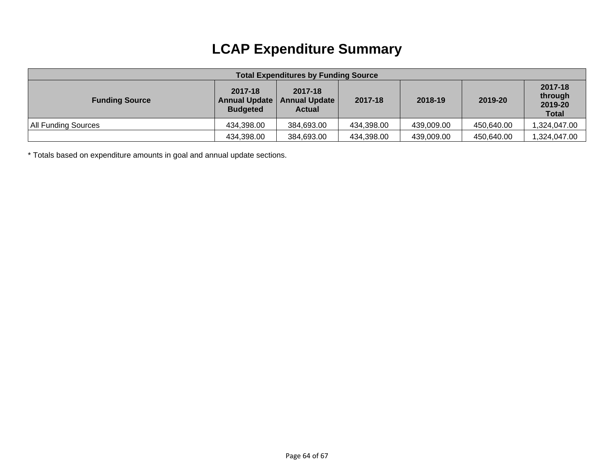## **LCAP Expenditure Summary**

| <b>Total Expenditures by Funding Source</b> |                                                    |                                                  |            |            |            |                                               |  |
|---------------------------------------------|----------------------------------------------------|--------------------------------------------------|------------|------------|------------|-----------------------------------------------|--|
| <b>Funding Source</b>                       | 2017-18<br><b>Annual Update</b><br><b>Budgeted</b> | 2017-18<br><b>Annual Update</b><br><b>Actual</b> | 2017-18    | 2018-19    | 2019-20    | 2017-18<br>through<br>2019-20<br><b>Total</b> |  |
| All Funding Sources                         | 434,398.00                                         | 384,693.00                                       | 434,398.00 | 439,009.00 | 450,640.00 | 1,324,047.00                                  |  |
|                                             | 434,398.00                                         | 384,693.00                                       | 434,398.00 | 439,009.00 | 450,640.00 | 1,324,047.00                                  |  |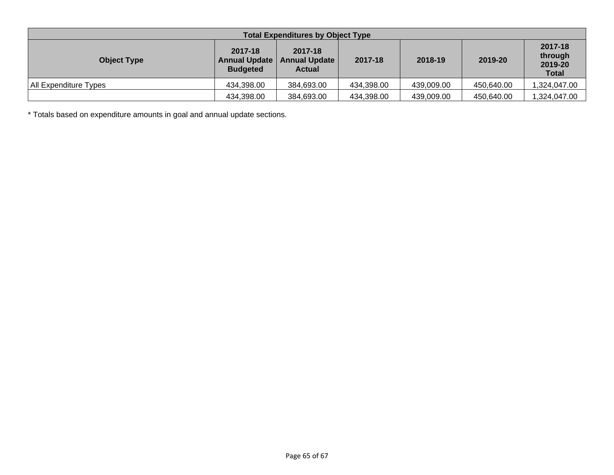| <b>Total Expenditures by Object Type</b> |                                                    |                                                  |            |            |            |                                               |
|------------------------------------------|----------------------------------------------------|--------------------------------------------------|------------|------------|------------|-----------------------------------------------|
| <b>Object Type</b>                       | 2017-18<br><b>Annual Update</b><br><b>Budgeted</b> | 2017-18<br><b>Annual Update</b><br><b>Actual</b> | 2017-18    | 2018-19    | 2019-20    | 2017-18<br>through<br>2019-20<br><b>Total</b> |
| All Expenditure Types                    | 434,398.00                                         | 384,693.00                                       | 434,398.00 | 439,009.00 | 450,640.00 | 1,324,047.00                                  |
|                                          | 434,398.00                                         | 384,693.00                                       | 434,398.00 | 439,009.00 | 450,640.00 | 1,324,047.00                                  |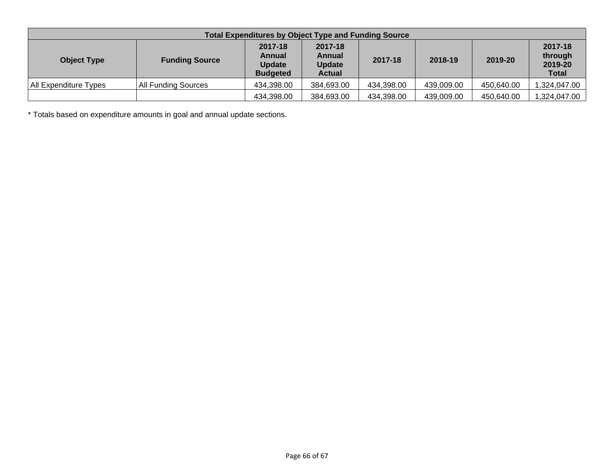| <b>Total Expenditures by Object Type and Funding Source</b> |                            |                                                       |                                                     |            |            |            |                                               |  |  |  |  |
|-------------------------------------------------------------|----------------------------|-------------------------------------------------------|-----------------------------------------------------|------------|------------|------------|-----------------------------------------------|--|--|--|--|
| <b>Object Type</b>                                          | <b>Funding Source</b>      | 2017-18<br>Annual<br><b>Update</b><br><b>Budgeted</b> | 2017-18<br>Annual<br><b>Update</b><br><b>Actual</b> | 2017-18    | 2018-19    | 2019-20    | 2017-18<br>through<br>2019-20<br><b>Total</b> |  |  |  |  |
| All Expenditure Types                                       | <b>All Funding Sources</b> | 434,398.00                                            | 384,693.00                                          | 434,398.00 | 439,009.00 | 450,640.00 | 1,324,047.00                                  |  |  |  |  |
|                                                             |                            | 434,398.00                                            | 384,693.00                                          | 434,398.00 | 439,009.00 | 450,640.00 | ,324,047.00                                   |  |  |  |  |